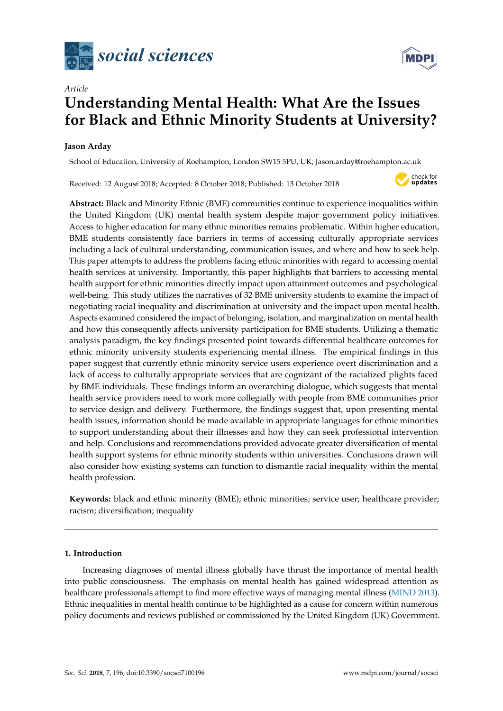



# *Article* **Understanding Mental Health: What Are the Issues for Black and Ethnic Minority Students at University?**

# **Jason Arday**

School of Education, University of Roehampton, London SW15 5PU, UK; Jason.arday@roehampton.ac.uk

Received: 12 August 2018; Accepted: 8 October 2018; Published: 13 October 2018



**Abstract:** Black and Minority Ethnic (BME) communities continue to experience inequalities within the United Kingdom (UK) mental health system despite major government policy initiatives. Access to higher education for many ethnic minorities remains problematic. Within higher education, BME students consistently face barriers in terms of accessing culturally appropriate services including a lack of cultural understanding, communication issues, and where and how to seek help. This paper attempts to address the problems facing ethnic minorities with regard to accessing mental health services at university. Importantly, this paper highlights that barriers to accessing mental health support for ethnic minorities directly impact upon attainment outcomes and psychological well-being. This study utilizes the narratives of 32 BME university students to examine the impact of negotiating racial inequality and discrimination at university and the impact upon mental health. Aspects examined considered the impact of belonging, isolation, and marginalization on mental health and how this consequently affects university participation for BME students. Utilizing a thematic analysis paradigm, the key findings presented point towards differential healthcare outcomes for ethnic minority university students experiencing mental illness. The empirical findings in this paper suggest that currently ethnic minority service users experience overt discrimination and a lack of access to culturally appropriate services that are cognizant of the racialized plights faced by BME individuals. These findings inform an overarching dialogue, which suggests that mental health service providers need to work more collegially with people from BME communities prior to service design and delivery. Furthermore, the findings suggest that, upon presenting mental health issues, information should be made available in appropriate languages for ethnic minorities to support understanding about their illnesses and how they can seek professional intervention and help. Conclusions and recommendations provided advocate greater diversification of mental health support systems for ethnic minority students within universities. Conclusions drawn will also consider how existing systems can function to dismantle racial inequality within the mental health profession.

**Keywords:** black and ethnic minority (BME); ethnic minorities; service user; healthcare provider; racism; diversification; inequality

## **1. Introduction**

Increasing diagnoses of mental illness globally have thrust the importance of mental health into public consciousness. The emphasis on mental health has gained widespread attention as healthcare professionals attempt to find more effective ways of managing mental illness [\(MIND](#page-23-0) [2013\)](#page-23-0). Ethnic inequalities in mental health continue to be highlighted as a cause for concern within numerous policy documents and reviews published or commissioned by the United Kingdom (UK) Government.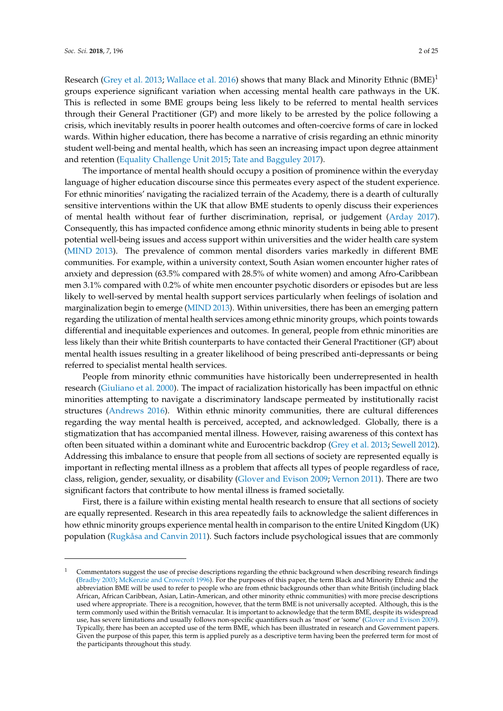Research [\(Grey et al.](#page-22-0) [2013;](#page-22-0) [Wallace et al.](#page-24-0) [2016\)](#page-24-0) shows that many Black and Minority Ethnic (BME)<sup>1</sup> groups experience significant variation when accessing mental health care pathways in the UK. This is reflected in some BME groups being less likely to be referred to mental health services through their General Practitioner (GP) and more likely to be arrested by the police following a crisis, which inevitably results in poorer health outcomes and often-coercive forms of care in locked wards. Within higher education, there has become a narrative of crisis regarding an ethnic minority student well-being and mental health, which has seen an increasing impact upon degree attainment and retention [\(Equality Challenge Unit](#page-22-1) [2015;](#page-22-1) [Tate and Bagguley](#page-23-1) [2017\)](#page-23-1).

The importance of mental health should occupy a position of prominence within the everyday language of higher education discourse since this permeates every aspect of the student experience. For ethnic minorities' navigating the racialized terrain of the Academy, there is a dearth of culturally sensitive interventions within the UK that allow BME students to openly discuss their experiences of mental health without fear of further discrimination, reprisal, or judgement [\(Arday](#page-21-0) [2017\)](#page-21-0). Consequently, this has impacted confidence among ethnic minority students in being able to present potential well-being issues and access support within universities and the wider health care system [\(MIND](#page-23-0) [2013\)](#page-23-0). The prevalence of common mental disorders varies markedly in different BME communities. For example, within a university context, South Asian women encounter higher rates of anxiety and depression (63.5% compared with 28.5% of white women) and among Afro-Caribbean men 3.1% compared with 0.2% of white men encounter psychotic disorders or episodes but are less likely to well-served by mental health support services particularly when feelings of isolation and marginalization begin to emerge [\(MIND](#page-23-0) [2013\)](#page-23-0). Within universities, there has been an emerging pattern regarding the utilization of mental health services among ethnic minority groups, which points towards differential and inequitable experiences and outcomes. In general, people from ethnic minorities are less likely than their white British counterparts to have contacted their General Practitioner (GP) about mental health issues resulting in a greater likelihood of being prescribed anti-depressants or being referred to specialist mental health services.

People from minority ethnic communities have historically been underrepresented in health research [\(Giuliano et al.](#page-22-2) [2000\)](#page-22-2). The impact of racialization historically has been impactful on ethnic minorities attempting to navigate a discriminatory landscape permeated by institutionally racist structures [\(Andrews](#page-21-1) [2016\)](#page-21-1). Within ethnic minority communities, there are cultural differences regarding the way mental health is perceived, accepted, and acknowledged. Globally, there is a stigmatization that has accompanied mental illness. However, raising awareness of this context has often been situated within a dominant white and Eurocentric backdrop [\(Grey et al.](#page-22-0) [2013;](#page-22-0) [Sewell](#page-23-2) [2012\)](#page-23-2). Addressing this imbalance to ensure that people from all sections of society are represented equally is important in reflecting mental illness as a problem that affects all types of people regardless of race, class, religion, gender, sexuality, or disability [\(Glover and Evison](#page-22-3) [2009;](#page-22-3) [Vernon](#page-24-1) [2011\)](#page-24-1). There are two significant factors that contribute to how mental illness is framed societally.

First, there is a failure within existing mental health research to ensure that all sections of society are equally represented. Research in this area repeatedly fails to acknowledge the salient differences in how ethnic minority groups experience mental health in comparison to the entire United Kingdom (UK) population [\(Rugkåsa and Canvin](#page-23-3) [2011\)](#page-23-3). Such factors include psychological issues that are commonly

<sup>1</sup> Commentators suggest the use of precise descriptions regarding the ethnic background when describing research findings [\(Bradby](#page-21-2) [2003;](#page-21-2) [McKenzie and Crowcroft](#page-23-4) [1996\)](#page-23-4). For the purposes of this paper, the term Black and Minority Ethnic and the abbreviation BME will be used to refer to people who are from ethnic backgrounds other than white British (including black African, African Caribbean, Asian, Latin-American, and other minority ethnic communities) with more precise descriptions used where appropriate. There is a recognition, however, that the term BME is not universally accepted. Although, this is the term commonly used within the British vernacular. It is important to acknowledge that the term BME, despite its widespread use, has severe limitations and usually follows non-specific quantifiers such as 'most' or 'some' [\(Glover and Evison](#page-22-3) [2009\)](#page-22-3). Typically, there has been an accepted use of the term BME, which has been illustrated in research and Government papers. Given the purpose of this paper, this term is applied purely as a descriptive term having been the preferred term for most of the participants throughout this study.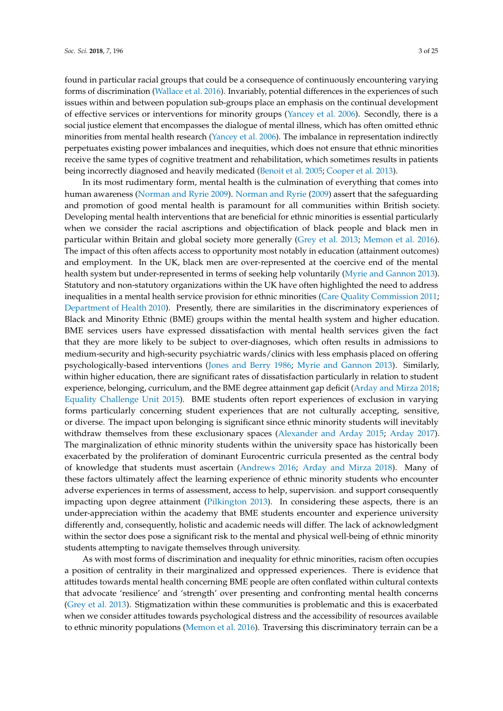found in particular racial groups that could be a consequence of continuously encountering varying forms of discrimination [\(Wallace et al.](#page-24-0) [2016\)](#page-24-0). Invariably, potential differences in the experiences of such issues within and between population sub-groups place an emphasis on the continual development of effective services or interventions for minority groups [\(Yancey et al.](#page-24-2) [2006\)](#page-24-2). Secondly, there is a social justice element that encompasses the dialogue of mental illness, which has often omitted ethnic minorities from mental health research [\(Yancey et al.](#page-24-2) [2006\)](#page-24-2). The imbalance in representation indirectly perpetuates existing power imbalances and inequities, which does not ensure that ethnic minorities receive the same types of cognitive treatment and rehabilitation, which sometimes results in patients being incorrectly diagnosed and heavily medicated [\(Benoit et al.](#page-21-3) [2005;](#page-21-3) [Cooper et al.](#page-22-4) [2013\)](#page-22-4).

In its most rudimentary form, mental health is the culmination of everything that comes into human awareness [\(Norman and Ryrie](#page-23-5) [2009\)](#page-23-5). [Norman and Ryrie](#page-23-5) [\(2009\)](#page-23-5) assert that the safeguarding and promotion of good mental health is paramount for all communities within British society. Developing mental health interventions that are beneficial for ethnic minorities is essential particularly when we consider the racial ascriptions and objectification of black people and black men in particular within Britain and global society more generally [\(Grey et al.](#page-22-0) [2013;](#page-22-0) [Memon et al.](#page-23-6) [2016\)](#page-23-6). The impact of this often affects access to opportunity most notably in education (attainment outcomes) and employment. In the UK, black men are over-represented at the coercive end of the mental health system but under-represented in terms of seeking help voluntarily [\(Myrie and Gannon](#page-23-7) [2013\)](#page-23-7). Statutory and non-statutory organizations within the UK have often highlighted the need to address inequalities in a mental health service provision for ethnic minorities [\(Care Quality Commission](#page-21-4) [2011;](#page-21-4) [Department of Health](#page-22-5) [2010\)](#page-22-5). Presently, there are similarities in the discriminatory experiences of Black and Minority Ethnic (BME) groups within the mental health system and higher education. BME services users have expressed dissatisfaction with mental health services given the fact that they are more likely to be subject to over-diagnoses, which often results in admissions to medium-security and high-security psychiatric wards/clinics with less emphasis placed on offering psychologically-based interventions [\(Jones and Berry](#page-22-6) [1986;](#page-22-6) [Myrie and Gannon](#page-23-7) [2013\)](#page-23-7). Similarly, within higher education, there are significant rates of dissatisfaction particularly in relation to student experience, belonging, curriculum, and the BME degree attainment gap deficit [\(Arday and Mirza](#page-21-5) [2018;](#page-21-5) [Equality Challenge Unit](#page-22-1) [2015\)](#page-22-1). BME students often report experiences of exclusion in varying forms particularly concerning student experiences that are not culturally accepting, sensitive, or diverse. The impact upon belonging is significant since ethnic minority students will inevitably withdraw themselves from these exclusionary spaces [\(Alexander and Arday](#page-21-6) [2015;](#page-21-6) [Arday](#page-21-0) [2017\)](#page-21-0). The marginalization of ethnic minority students within the university space has historically been exacerbated by the proliferation of dominant Eurocentric curricula presented as the central body of knowledge that students must ascertain [\(Andrews](#page-21-1) [2016;](#page-21-1) [Arday and Mirza](#page-21-5) [2018\)](#page-21-5). Many of these factors ultimately affect the learning experience of ethnic minority students who encounter adverse experiences in terms of assessment, access to help, supervision. and support consequently impacting upon degree attainment [\(Pilkington](#page-23-8) [2013\)](#page-23-8). In considering these aspects, there is an under-appreciation within the academy that BME students encounter and experience university differently and, consequently, holistic and academic needs will differ. The lack of acknowledgment within the sector does pose a significant risk to the mental and physical well-being of ethnic minority students attempting to navigate themselves through university.

As with most forms of discrimination and inequality for ethnic minorities, racism often occupies a position of centrality in their marginalized and oppressed experiences. There is evidence that attitudes towards mental health concerning BME people are often conflated within cultural contexts that advocate 'resilience' and 'strength' over presenting and confronting mental health concerns [\(Grey et al.](#page-22-0) [2013\)](#page-22-0). Stigmatization within these communities is problematic and this is exacerbated when we consider attitudes towards psychological distress and the accessibility of resources available to ethnic minority populations [\(Memon et al.](#page-23-6) [2016\)](#page-23-6). Traversing this discriminatory terrain can be a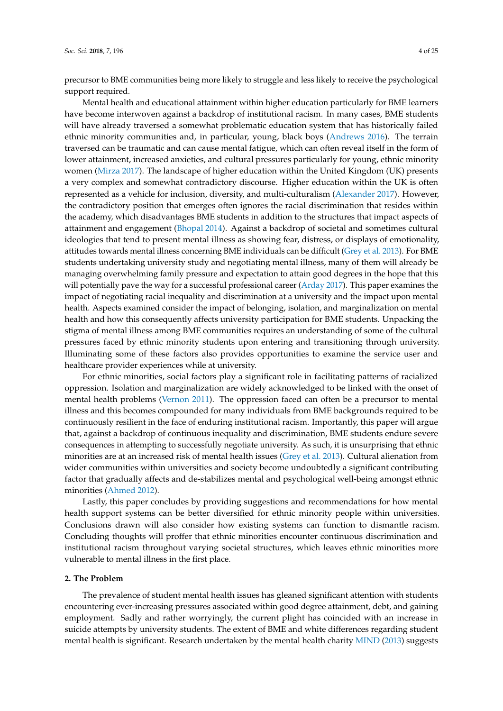precursor to BME communities being more likely to struggle and less likely to receive the psychological support required.

Mental health and educational attainment within higher education particularly for BME learners have become interwoven against a backdrop of institutional racism. In many cases, BME students will have already traversed a somewhat problematic education system that has historically failed ethnic minority communities and, in particular, young, black boys [\(Andrews](#page-21-1) [2016\)](#page-21-1). The terrain traversed can be traumatic and can cause mental fatigue, which can often reveal itself in the form of lower attainment, increased anxieties, and cultural pressures particularly for young, ethnic minority women [\(Mirza](#page-23-9) [2017\)](#page-23-9). The landscape of higher education within the United Kingdom (UK) presents a very complex and somewhat contradictory discourse. Higher education within the UK is often represented as a vehicle for inclusion, diversity, and multi-culturalism [\(Alexander](#page-21-7) [2017\)](#page-21-7). However, the contradictory position that emerges often ignores the racial discrimination that resides within the academy, which disadvantages BME students in addition to the structures that impact aspects of attainment and engagement [\(Bhopal](#page-21-8) [2014\)](#page-21-8). Against a backdrop of societal and sometimes cultural ideologies that tend to present mental illness as showing fear, distress, or displays of emotionality, attitudes towards mental illness concerning BME individuals can be difficult [\(Grey et al.](#page-22-0) [2013\)](#page-22-0). For BME students undertaking university study and negotiating mental illness, many of them will already be managing overwhelming family pressure and expectation to attain good degrees in the hope that this will potentially pave the way for a successful professional career [\(Arday](#page-21-0) [2017\)](#page-21-0). This paper examines the impact of negotiating racial inequality and discrimination at a university and the impact upon mental health. Aspects examined consider the impact of belonging, isolation, and marginalization on mental health and how this consequently affects university participation for BME students. Unpacking the stigma of mental illness among BME communities requires an understanding of some of the cultural pressures faced by ethnic minority students upon entering and transitioning through university. Illuminating some of these factors also provides opportunities to examine the service user and healthcare provider experiences while at university.

For ethnic minorities, social factors play a significant role in facilitating patterns of racialized oppression. Isolation and marginalization are widely acknowledged to be linked with the onset of mental health problems [\(Vernon](#page-24-1) [2011\)](#page-24-1). The oppression faced can often be a precursor to mental illness and this becomes compounded for many individuals from BME backgrounds required to be continuously resilient in the face of enduring institutional racism. Importantly, this paper will argue that, against a backdrop of continuous inequality and discrimination, BME students endure severe consequences in attempting to successfully negotiate university. As such, it is unsurprising that ethnic minorities are at an increased risk of mental health issues [\(Grey et al.](#page-22-0) [2013\)](#page-22-0). Cultural alienation from wider communities within universities and society become undoubtedly a significant contributing factor that gradually affects and de-stabilizes mental and psychological well-being amongst ethnic minorities [\(Ahmed](#page-21-9) [2012\)](#page-21-9).

Lastly, this paper concludes by providing suggestions and recommendations for how mental health support systems can be better diversified for ethnic minority people within universities. Conclusions drawn will also consider how existing systems can function to dismantle racism. Concluding thoughts will proffer that ethnic minorities encounter continuous discrimination and institutional racism throughout varying societal structures, which leaves ethnic minorities more vulnerable to mental illness in the first place.

## **2. The Problem**

The prevalence of student mental health issues has gleaned significant attention with students encountering ever-increasing pressures associated within good degree attainment, debt, and gaining employment. Sadly and rather worryingly, the current plight has coincided with an increase in suicide attempts by university students. The extent of BME and white differences regarding student mental health is significant. Research undertaken by the mental health charity [MIND](#page-23-0) [\(2013\)](#page-23-0) suggests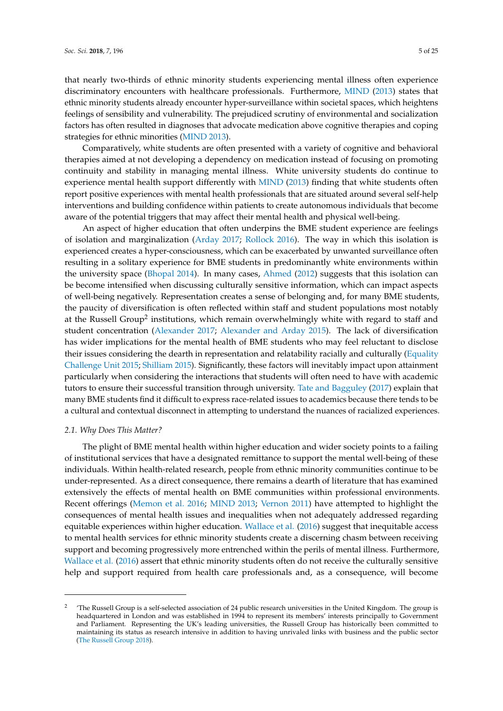that nearly two-thirds of ethnic minority students experiencing mental illness often experience discriminatory encounters with healthcare professionals. Furthermore, [MIND](#page-23-0) [\(2013\)](#page-23-0) states that ethnic minority students already encounter hyper-surveillance within societal spaces, which heightens feelings of sensibility and vulnerability. The prejudiced scrutiny of environmental and socialization factors has often resulted in diagnoses that advocate medication above cognitive therapies and coping strategies for ethnic minorities [\(MIND](#page-23-0) [2013\)](#page-23-0).

Comparatively, white students are often presented with a variety of cognitive and behavioral therapies aimed at not developing a dependency on medication instead of focusing on promoting continuity and stability in managing mental illness. White university students do continue to experience mental health support differently with [MIND](#page-23-0) [\(2013\)](#page-23-0) finding that white students often report positive experiences with mental health professionals that are situated around several self-help interventions and building confidence within patients to create autonomous individuals that become aware of the potential triggers that may affect their mental health and physical well-being.

An aspect of higher education that often underpins the BME student experience are feelings of isolation and marginalization [\(Arday](#page-21-0) [2017;](#page-21-0) [Rollock](#page-23-10) [2016\)](#page-23-10). The way in which this isolation is experienced creates a hyper-consciousness, which can be exacerbated by unwanted surveillance often resulting in a solitary experience for BME students in predominantly white environments within the university space [\(Bhopal](#page-21-8) [2014\)](#page-21-8). In many cases, [Ahmed](#page-21-9) [\(2012\)](#page-21-9) suggests that this isolation can be become intensified when discussing culturally sensitive information, which can impact aspects of well-being negatively. Representation creates a sense of belonging and, for many BME students, the paucity of diversification is often reflected within staff and student populations most notably at the Russell Group<sup>2</sup> institutions, which remain overwhelmingly white with regard to staff and student concentration [\(Alexander](#page-21-7) [2017;](#page-21-7) [Alexander and Arday](#page-21-6) [2015\)](#page-21-6). The lack of diversification has wider implications for the mental health of BME students who may feel reluctant to disclose their issues considering the dearth in representation and relatability racially and culturally [\(Equality](#page-22-1) [Challenge Unit](#page-22-1) [2015;](#page-22-1) [Shilliam](#page-23-11) [2015\)](#page-23-11). Significantly, these factors will inevitably impact upon attainment particularly when considering the interactions that students will often need to have with academic tutors to ensure their successful transition through university. [Tate and Bagguley](#page-23-1) [\(2017\)](#page-23-1) explain that many BME students find it difficult to express race-related issues to academics because there tends to be a cultural and contextual disconnect in attempting to understand the nuances of racialized experiences.

## *2.1. Why Does This Matter?*

The plight of BME mental health within higher education and wider society points to a failing of institutional services that have a designated remittance to support the mental well-being of these individuals. Within health-related research, people from ethnic minority communities continue to be under-represented. As a direct consequence, there remains a dearth of literature that has examined extensively the effects of mental health on BME communities within professional environments. Recent offerings [\(Memon et al.](#page-23-6) [2016;](#page-23-6) [MIND](#page-23-0) [2013;](#page-23-0) [Vernon](#page-24-1) [2011\)](#page-24-1) have attempted to highlight the consequences of mental health issues and inequalities when not adequately addressed regarding equitable experiences within higher education. [Wallace et al.](#page-24-0) [\(2016\)](#page-24-0) suggest that inequitable access to mental health services for ethnic minority students create a discerning chasm between receiving support and becoming progressively more entrenched within the perils of mental illness. Furthermore, [Wallace et al.](#page-24-0) [\(2016\)](#page-24-0) assert that ethnic minority students often do not receive the culturally sensitive help and support required from health care professionals and, as a consequence, will become

<sup>2</sup> 'The Russell Group is a self-selected association of 24 public research universities in the United Kingdom. The group is headquartered in London and was established in 1994 to represent its members' interests principally to Government and Parliament. Representing the UK's leading universities, the Russell Group has historically been committed to maintaining its status as research intensive in addition to having unrivaled links with business and the public sector [\(The Russell Group](#page-24-3) [2018\)](#page-24-3).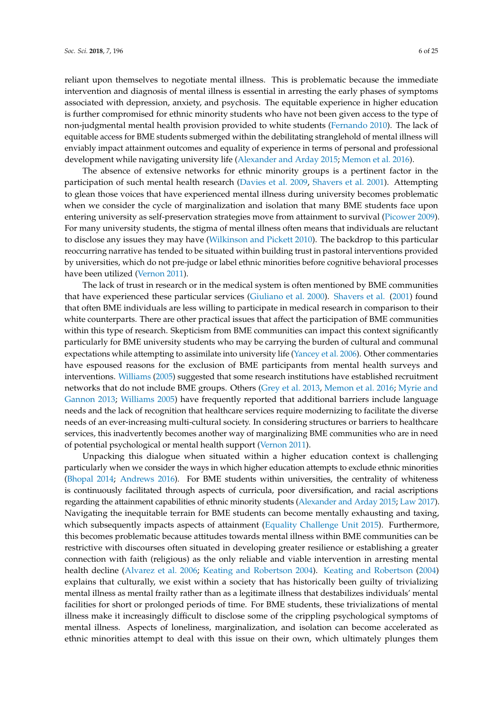reliant upon themselves to negotiate mental illness. This is problematic because the immediate intervention and diagnosis of mental illness is essential in arresting the early phases of symptoms associated with depression, anxiety, and psychosis. The equitable experience in higher education is further compromised for ethnic minority students who have not been given access to the type of non-judgmental mental health provision provided to white students [\(Fernando](#page-22-7) [2010\)](#page-22-7). The lack of equitable access for BME students submerged within the debilitating stranglehold of mental illness will enviably impact attainment outcomes and equality of experience in terms of personal and professional development while navigating university life [\(Alexander and Arday](#page-21-6) [2015;](#page-21-6) [Memon et al.](#page-23-6) [2016\)](#page-23-6).

The absence of extensive networks for ethnic minority groups is a pertinent factor in the participation of such mental health research [\(Davies et al.](#page-22-8) [2009,](#page-22-8) [Shavers et al.](#page-23-12) [2001\)](#page-23-12). Attempting to glean those voices that have experienced mental illness during university becomes problematic when we consider the cycle of marginalization and isolation that many BME students face upon entering university as self-preservation strategies move from attainment to survival [\(Picower](#page-23-13) [2009\)](#page-23-13). For many university students, the stigma of mental illness often means that individuals are reluctant to disclose any issues they may have [\(Wilkinson and Pickett](#page-24-4) [2010\)](#page-24-4). The backdrop to this particular reoccurring narrative has tended to be situated within building trust in pastoral interventions provided by universities, which do not pre-judge or label ethnic minorities before cognitive behavioral processes have been utilized [\(Vernon](#page-24-1) [2011\)](#page-24-1).

The lack of trust in research or in the medical system is often mentioned by BME communities that have experienced these particular services [\(Giuliano et al.](#page-22-2) [2000\)](#page-22-2). [Shavers et al.](#page-23-12) [\(2001\)](#page-23-12) found that often BME individuals are less willing to participate in medical research in comparison to their white counterparts. There are other practical issues that affect the participation of BME communities within this type of research. Skepticism from BME communities can impact this context significantly particularly for BME university students who may be carrying the burden of cultural and communal expectations while attempting to assimilate into university life [\(Yancey et al.](#page-24-2) [2006\)](#page-24-2). Other commentaries have espoused reasons for the exclusion of BME participants from mental health surveys and interventions. [Williams](#page-24-5) [\(2005\)](#page-24-5) suggested that some research institutions have established recruitment networks that do not include BME groups. Others [\(Grey et al.](#page-22-0) [2013,](#page-22-0) [Memon et al.](#page-23-6) [2016;](#page-23-6) [Myrie and](#page-23-7) [Gannon](#page-23-7) [2013;](#page-23-7) [Williams](#page-24-5) [2005\)](#page-24-5) have frequently reported that additional barriers include language needs and the lack of recognition that healthcare services require modernizing to facilitate the diverse needs of an ever-increasing multi-cultural society. In considering structures or barriers to healthcare services, this inadvertently becomes another way of marginalizing BME communities who are in need of potential psychological or mental health support [\(Vernon](#page-24-1) [2011\)](#page-24-1).

Unpacking this dialogue when situated within a higher education context is challenging particularly when we consider the ways in which higher education attempts to exclude ethnic minorities [\(Bhopal](#page-21-8) [2014;](#page-21-8) [Andrews](#page-21-1) [2016\)](#page-21-1). For BME students within universities, the centrality of whiteness is continuously facilitated through aspects of curricula, poor diversification, and racial ascriptions regarding the attainment capabilities of ethnic minority students [\(Alexander and Arday](#page-21-6) [2015;](#page-21-6) [Law](#page-22-9) [2017\)](#page-22-9). Navigating the inequitable terrain for BME students can become mentally exhausting and taxing, which subsequently impacts aspects of attainment [\(Equality Challenge Unit](#page-22-1) [2015\)](#page-22-1). Furthermore, this becomes problematic because attitudes towards mental illness within BME communities can be restrictive with discourses often situated in developing greater resilience or establishing a greater connection with faith (religious) as the only reliable and viable intervention in arresting mental health decline [\(Alvarez et al.](#page-21-10) [2006;](#page-21-10) [Keating and Robertson](#page-22-10) [2004\)](#page-22-10). [Keating and Robertson](#page-22-10) [\(2004\)](#page-22-10) explains that culturally, we exist within a society that has historically been guilty of trivializing mental illness as mental frailty rather than as a legitimate illness that destabilizes individuals' mental facilities for short or prolonged periods of time. For BME students, these trivializations of mental illness make it increasingly difficult to disclose some of the crippling psychological symptoms of mental illness. Aspects of loneliness, marginalization, and isolation can become accelerated as ethnic minorities attempt to deal with this issue on their own, which ultimately plunges them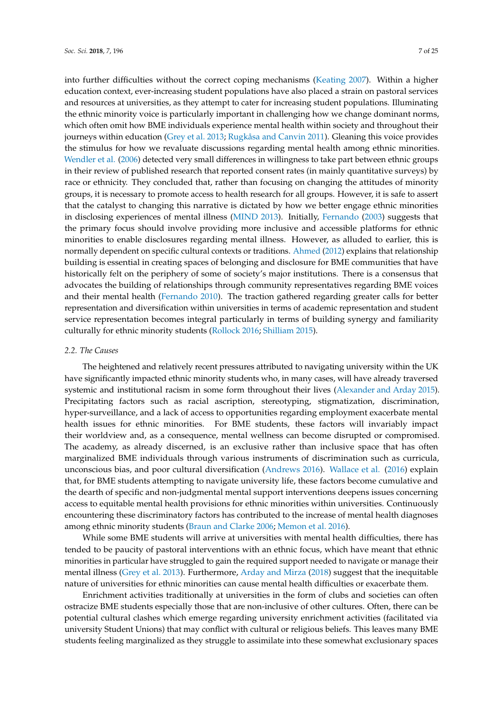into further difficulties without the correct coping mechanisms [\(Keating](#page-22-11) [2007\)](#page-22-11). Within a higher education context, ever-increasing student populations have also placed a strain on pastoral services and resources at universities, as they attempt to cater for increasing student populations. Illuminating the ethnic minority voice is particularly important in challenging how we change dominant norms, which often omit how BME individuals experience mental health within society and throughout their journeys within education [\(Grey et al.](#page-22-0) [2013;](#page-22-0) [Rugkåsa and Canvin](#page-23-3) [2011\)](#page-23-3). Gleaning this voice provides the stimulus for how we revaluate discussions regarding mental health among ethnic minorities. [Wendler et al.](#page-24-6) [\(2006\)](#page-24-6) detected very small differences in willingness to take part between ethnic groups in their review of published research that reported consent rates (in mainly quantitative surveys) by race or ethnicity. They concluded that, rather than focusing on changing the attitudes of minority groups, it is necessary to promote access to health research for all groups. However, it is safe to assert that the catalyst to changing this narrative is dictated by how we better engage ethnic minorities in disclosing experiences of mental illness [\(MIND](#page-23-0) [2013\)](#page-23-0). Initially, [Fernando](#page-22-12) [\(2003\)](#page-22-12) suggests that the primary focus should involve providing more inclusive and accessible platforms for ethnic minorities to enable disclosures regarding mental illness. However, as alluded to earlier, this is normally dependent on specific cultural contexts or traditions. [Ahmed](#page-21-9) [\(2012\)](#page-21-9) explains that relationship building is essential in creating spaces of belonging and disclosure for BME communities that have historically felt on the periphery of some of society's major institutions. There is a consensus that advocates the building of relationships through community representatives regarding BME voices and their mental health [\(Fernando](#page-22-7) [2010\)](#page-22-7). The traction gathered regarding greater calls for better representation and diversification within universities in terms of academic representation and student service representation becomes integral particularly in terms of building synergy and familiarity culturally for ethnic minority students [\(Rollock](#page-23-10) [2016;](#page-23-10) [Shilliam](#page-23-11) [2015\)](#page-23-11).

## *2.2. The Causes*

The heightened and relatively recent pressures attributed to navigating university within the UK have significantly impacted ethnic minority students who, in many cases, will have already traversed systemic and institutional racism in some form throughout their lives [\(Alexander and Arday](#page-21-6) [2015\)](#page-21-6). Precipitating factors such as racial ascription, stereotyping, stigmatization, discrimination, hyper-surveillance, and a lack of access to opportunities regarding employment exacerbate mental health issues for ethnic minorities. For BME students, these factors will invariably impact their worldview and, as a consequence, mental wellness can become disrupted or compromised. The academy, as already discerned, is an exclusive rather than inclusive space that has often marginalized BME individuals through various instruments of discrimination such as curricula, unconscious bias, and poor cultural diversification [\(Andrews](#page-21-1) [2016\)](#page-21-1). [Wallace et al.](#page-24-0) [\(2016\)](#page-24-0) explain that, for BME students attempting to navigate university life, these factors become cumulative and the dearth of specific and non-judgmental mental support interventions deepens issues concerning access to equitable mental health provisions for ethnic minorities within universities. Continuously encountering these discriminatory factors has contributed to the increase of mental health diagnoses among ethnic minority students [\(Braun and Clarke](#page-21-11) [2006;](#page-21-11) [Memon et al.](#page-23-6) [2016\)](#page-23-6).

While some BME students will arrive at universities with mental health difficulties, there has tended to be paucity of pastoral interventions with an ethnic focus, which have meant that ethnic minorities in particular have struggled to gain the required support needed to navigate or manage their mental illness [\(Grey et al.](#page-22-0) [2013\)](#page-22-0). Furthermore, [Arday and Mirza](#page-21-5) [\(2018\)](#page-21-5) suggest that the inequitable nature of universities for ethnic minorities can cause mental health difficulties or exacerbate them.

Enrichment activities traditionally at universities in the form of clubs and societies can often ostracize BME students especially those that are non-inclusive of other cultures. Often, there can be potential cultural clashes which emerge regarding university enrichment activities (facilitated via university Student Unions) that may conflict with cultural or religious beliefs. This leaves many BME students feeling marginalized as they struggle to assimilate into these somewhat exclusionary spaces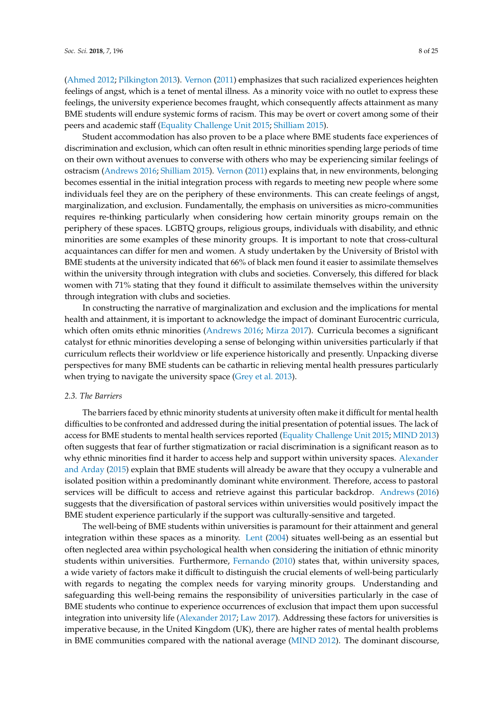[\(Ahmed](#page-21-9) [2012;](#page-21-9) [Pilkington](#page-23-8) [2013\)](#page-23-8). [Vernon](#page-24-1) [\(2011\)](#page-24-1) emphasizes that such racialized experiences heighten feelings of angst, which is a tenet of mental illness. As a minority voice with no outlet to express these feelings, the university experience becomes fraught, which consequently affects attainment as many BME students will endure systemic forms of racism. This may be overt or covert among some of their peers and academic staff [\(Equality Challenge Unit](#page-22-1) [2015;](#page-22-1) [Shilliam](#page-23-11) [2015\)](#page-23-11).

Student accommodation has also proven to be a place where BME students face experiences of discrimination and exclusion, which can often result in ethnic minorities spending large periods of time on their own without avenues to converse with others who may be experiencing similar feelings of ostracism [\(Andrews](#page-21-1) [2016;](#page-21-1) [Shilliam](#page-23-11) [2015\)](#page-23-11). [Vernon](#page-24-1) [\(2011\)](#page-24-1) explains that, in new environments, belonging becomes essential in the initial integration process with regards to meeting new people where some individuals feel they are on the periphery of these environments. This can create feelings of angst, marginalization, and exclusion. Fundamentally, the emphasis on universities as micro-communities requires re-thinking particularly when considering how certain minority groups remain on the periphery of these spaces. LGBTQ groups, religious groups, individuals with disability, and ethnic minorities are some examples of these minority groups. It is important to note that cross-cultural acquaintances can differ for men and women. A study undertaken by the University of Bristol with BME students at the university indicated that 66% of black men found it easier to assimilate themselves within the university through integration with clubs and societies. Conversely, this differed for black women with 71% stating that they found it difficult to assimilate themselves within the university through integration with clubs and societies.

In constructing the narrative of marginalization and exclusion and the implications for mental health and attainment, it is important to acknowledge the impact of dominant Eurocentric curricula, which often omits ethnic minorities [\(Andrews](#page-21-1) [2016;](#page-21-1) [Mirza](#page-23-9) [2017\)](#page-23-9). Curricula becomes a significant catalyst for ethnic minorities developing a sense of belonging within universities particularly if that curriculum reflects their worldview or life experience historically and presently. Unpacking diverse perspectives for many BME students can be cathartic in relieving mental health pressures particularly when trying to navigate the university space [\(Grey et al.](#page-22-0) [2013\)](#page-22-0).

#### *2.3. The Barriers*

The barriers faced by ethnic minority students at university often make it difficult for mental health difficulties to be confronted and addressed during the initial presentation of potential issues. The lack of access for BME students to mental health services reported [\(Equality Challenge Unit](#page-22-1) [2015;](#page-22-1) [MIND](#page-23-0) [2013\)](#page-23-0) often suggests that fear of further stigmatization or racial discrimination is a significant reason as to why ethnic minorities find it harder to access help and support within university spaces. [Alexander](#page-21-6) [and Arday](#page-21-6) [\(2015\)](#page-21-6) explain that BME students will already be aware that they occupy a vulnerable and isolated position within a predominantly dominant white environment. Therefore, access to pastoral services will be difficult to access and retrieve against this particular backdrop. [Andrews](#page-21-1) [\(2016\)](#page-21-1) suggests that the diversification of pastoral services within universities would positively impact the BME student experience particularly if the support was culturally-sensitive and targeted.

The well-being of BME students within universities is paramount for their attainment and general integration within these spaces as a minority. [Lent](#page-22-13) [\(2004\)](#page-22-13) situates well-being as an essential but often neglected area within psychological health when considering the initiation of ethnic minority students within universities. Furthermore, [Fernando](#page-22-7) [\(2010\)](#page-22-7) states that, within university spaces, a wide variety of factors make it difficult to distinguish the crucial elements of well-being particularly with regards to negating the complex needs for varying minority groups. Understanding and safeguarding this well-being remains the responsibility of universities particularly in the case of BME students who continue to experience occurrences of exclusion that impact them upon successful integration into university life [\(Alexander](#page-21-7) [2017;](#page-21-7) [Law](#page-22-9) [2017\)](#page-22-9). Addressing these factors for universities is imperative because, in the United Kingdom (UK), there are higher rates of mental health problems in BME communities compared with the national average [\(MIND](#page-23-14) [2012\)](#page-23-14). The dominant discourse,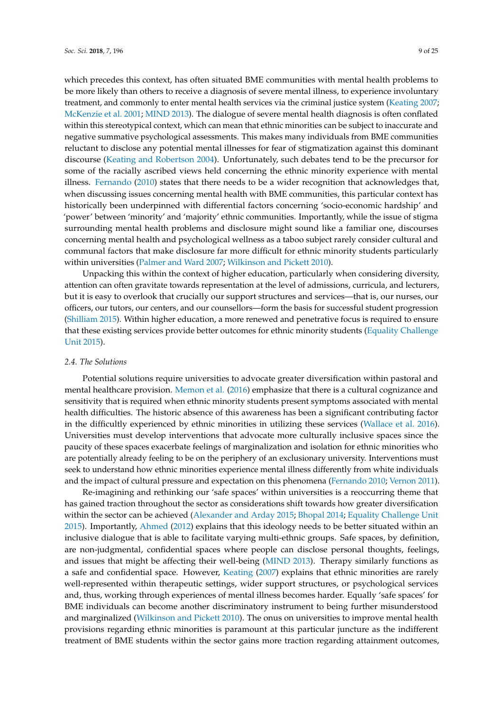which precedes this context, has often situated BME communities with mental health problems to be more likely than others to receive a diagnosis of severe mental illness, to experience involuntary treatment, and commonly to enter mental health services via the criminal justice system [\(Keating](#page-22-11) [2007;](#page-22-11) [McKenzie et al.](#page-23-15) [2001;](#page-23-15) [MIND](#page-23-0) [2013\)](#page-23-0). The dialogue of severe mental health diagnosis is often conflated within this stereotypical context, which can mean that ethnic minorities can be subject to inaccurate and negative summative psychological assessments. This makes many individuals from BME communities reluctant to disclose any potential mental illnesses for fear of stigmatization against this dominant discourse [\(Keating and Robertson](#page-22-10) [2004\)](#page-22-10). Unfortunately, such debates tend to be the precursor for some of the racially ascribed views held concerning the ethnic minority experience with mental illness. [Fernando](#page-22-7) [\(2010\)](#page-22-7) states that there needs to be a wider recognition that acknowledges that, when discussing issues concerning mental health with BME communities, this particular context has historically been underpinned with differential factors concerning 'socio-economic hardship' and 'power' between 'minority' and 'majority' ethnic communities. Importantly, while the issue of stigma surrounding mental health problems and disclosure might sound like a familiar one, discourses concerning mental health and psychological wellness as a taboo subject rarely consider cultural and communal factors that make disclosure far more difficult for ethnic minority students particularly within universities [\(Palmer and Ward](#page-23-16) [2007;](#page-23-16) [Wilkinson and Pickett](#page-24-4) [2010\)](#page-24-4).

Unpacking this within the context of higher education, particularly when considering diversity, attention can often gravitate towards representation at the level of admissions, curricula, and lecturers, but it is easy to overlook that crucially our support structures and services—that is, our nurses, our officers, our tutors, our centers, and our counsellors—form the basis for successful student progression [\(Shilliam](#page-23-11) [2015\)](#page-23-11). Within higher education, a more renewed and penetrative focus is required to ensure that these existing services provide better outcomes for ethnic minority students [\(Equality Challenge](#page-22-1) [Unit](#page-22-1) [2015\)](#page-22-1).

#### *2.4. The Solutions*

Potential solutions require universities to advocate greater diversification within pastoral and mental healthcare provision. [Memon et al.](#page-23-6) [\(2016\)](#page-23-6) emphasize that there is a cultural cognizance and sensitivity that is required when ethnic minority students present symptoms associated with mental health difficulties. The historic absence of this awareness has been a significant contributing factor in the difficultly experienced by ethnic minorities in utilizing these services [\(Wallace et al.](#page-24-0) [2016\)](#page-24-0). Universities must develop interventions that advocate more culturally inclusive spaces since the paucity of these spaces exacerbate feelings of marginalization and isolation for ethnic minorities who are potentially already feeling to be on the periphery of an exclusionary university. Interventions must seek to understand how ethnic minorities experience mental illness differently from white individuals and the impact of cultural pressure and expectation on this phenomena [\(Fernando](#page-22-7) [2010;](#page-22-7) [Vernon](#page-24-1) [2011\)](#page-24-1).

Re-imagining and rethinking our 'safe spaces' within universities is a reoccurring theme that has gained traction throughout the sector as considerations shift towards how greater diversification within the sector can be achieved [\(Alexander and Arday](#page-21-6) [2015;](#page-21-6) [Bhopal](#page-21-8) [2014;](#page-21-8) [Equality Challenge Unit](#page-22-1) [2015\)](#page-22-1). Importantly, [Ahmed](#page-21-9) [\(2012\)](#page-21-9) explains that this ideology needs to be better situated within an inclusive dialogue that is able to facilitate varying multi-ethnic groups. Safe spaces, by definition, are non-judgmental, confidential spaces where people can disclose personal thoughts, feelings, and issues that might be affecting their well-being [\(MIND](#page-23-0) [2013\)](#page-23-0). Therapy similarly functions as a safe and confidential space. However, [Keating](#page-22-11) [\(2007\)](#page-22-11) explains that ethnic minorities are rarely well-represented within therapeutic settings, wider support structures, or psychological services and, thus, working through experiences of mental illness becomes harder. Equally 'safe spaces' for BME individuals can become another discriminatory instrument to being further misunderstood and marginalized [\(Wilkinson and Pickett](#page-24-4) [2010\)](#page-24-4). The onus on universities to improve mental health provisions regarding ethnic minorities is paramount at this particular juncture as the indifferent treatment of BME students within the sector gains more traction regarding attainment outcomes,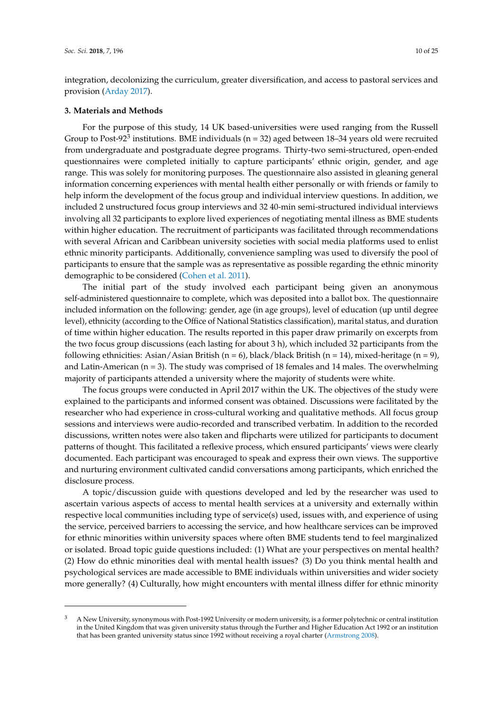integration, decolonizing the curriculum, greater diversification, and access to pastoral services and provision [\(Arday](#page-21-0) [2017\)](#page-21-0).

#### **3. Materials and Methods**

For the purpose of this study, 14 UK based-universities were used ranging from the Russell Group to Post-92<sup>3</sup> institutions. BME individuals (n = 32) aged between 18–34 years old were recruited from undergraduate and postgraduate degree programs. Thirty-two semi-structured, open-ended questionnaires were completed initially to capture participants' ethnic origin, gender, and age range. This was solely for monitoring purposes. The questionnaire also assisted in gleaning general information concerning experiences with mental health either personally or with friends or family to help inform the development of the focus group and individual interview questions. In addition, we included 2 unstructured focus group interviews and 32 40-min semi-structured individual interviews involving all 32 participants to explore lived experiences of negotiating mental illness as BME students within higher education. The recruitment of participants was facilitated through recommendations with several African and Caribbean university societies with social media platforms used to enlist ethnic minority participants. Additionally, convenience sampling was used to diversify the pool of participants to ensure that the sample was as representative as possible regarding the ethnic minority demographic to be considered [\(Cohen et al.](#page-21-12) [2011\)](#page-21-12).

The initial part of the study involved each participant being given an anonymous self-administered questionnaire to complete, which was deposited into a ballot box. The questionnaire included information on the following: gender, age (in age groups), level of education (up until degree level), ethnicity (according to the Office of National Statistics classification), marital status, and duration of time within higher education. The results reported in this paper draw primarily on excerpts from the two focus group discussions (each lasting for about 3 h), which included 32 participants from the following ethnicities: Asian/Asian British (n = 6), black/black British (n = 14), mixed-heritage (n = 9), and Latin-American ( $n = 3$ ). The study was comprised of 18 females and 14 males. The overwhelming majority of participants attended a university where the majority of students were white.

The focus groups were conducted in April 2017 within the UK. The objectives of the study were explained to the participants and informed consent was obtained. Discussions were facilitated by the researcher who had experience in cross-cultural working and qualitative methods. All focus group sessions and interviews were audio-recorded and transcribed verbatim. In addition to the recorded discussions, written notes were also taken and flipcharts were utilized for participants to document patterns of thought. This facilitated a reflexive process, which ensured participants' views were clearly documented. Each participant was encouraged to speak and express their own views. The supportive and nurturing environment cultivated candid conversations among participants, which enriched the disclosure process.

A topic/discussion guide with questions developed and led by the researcher was used to ascertain various aspects of access to mental health services at a university and externally within respective local communities including type of service(s) used, issues with, and experience of using the service, perceived barriers to accessing the service, and how healthcare services can be improved for ethnic minorities within university spaces where often BME students tend to feel marginalized or isolated. Broad topic guide questions included: (1) What are your perspectives on mental health? (2) How do ethnic minorities deal with mental health issues? (3) Do you think mental health and psychological services are made accessible to BME individuals within universities and wider society more generally? (4) Culturally, how might encounters with mental illness differ for ethnic minority

<sup>&</sup>lt;sup>3</sup> A New University, synonymous with Post-1992 University or modern university, is a former polytechnic or central institution in the United Kingdom that was given university status through the Further and Higher Education Act 1992 or an institution that has been granted university status since 1992 without receiving a royal charter [\(Armstrong](#page-21-13) [2008\)](#page-21-13).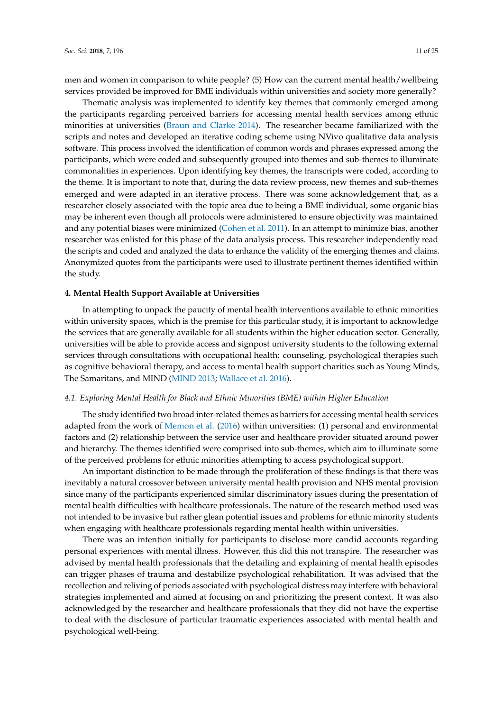men and women in comparison to white people? (5) How can the current mental health/wellbeing services provided be improved for BME individuals within universities and society more generally?

Thematic analysis was implemented to identify key themes that commonly emerged among the participants regarding perceived barriers for accessing mental health services among ethnic minorities at universities [\(Braun and Clarke](#page-21-14) [2014\)](#page-21-14). The researcher became familiarized with the scripts and notes and developed an iterative coding scheme using NVivo qualitative data analysis software. This process involved the identification of common words and phrases expressed among the participants, which were coded and subsequently grouped into themes and sub-themes to illuminate commonalities in experiences. Upon identifying key themes, the transcripts were coded, according to the theme. It is important to note that, during the data review process, new themes and sub-themes emerged and were adapted in an iterative process. There was some acknowledgement that, as a researcher closely associated with the topic area due to being a BME individual, some organic bias may be inherent even though all protocols were administered to ensure objectivity was maintained and any potential biases were minimized [\(Cohen et al.](#page-21-12) [2011\)](#page-21-12). In an attempt to minimize bias, another researcher was enlisted for this phase of the data analysis process. This researcher independently read the scripts and coded and analyzed the data to enhance the validity of the emerging themes and claims. Anonymized quotes from the participants were used to illustrate pertinent themes identified within the study.

#### **4. Mental Health Support Available at Universities**

In attempting to unpack the paucity of mental health interventions available to ethnic minorities within university spaces, which is the premise for this particular study, it is important to acknowledge the services that are generally available for all students within the higher education sector. Generally, universities will be able to provide access and signpost university students to the following external services through consultations with occupational health: counseling, psychological therapies such as cognitive behavioral therapy, and access to mental health support charities such as Young Minds, The Samaritans, and MIND [\(MIND](#page-23-0) [2013;](#page-23-0) [Wallace et al.](#page-24-0) [2016\)](#page-24-0).

## *4.1. Exploring Mental Health for Black and Ethnic Minorities (BME) within Higher Education*

The study identified two broad inter-related themes as barriers for accessing mental health services adapted from the work of [Memon et al.](#page-23-6) [\(2016\)](#page-23-6) within universities: (1) personal and environmental factors and (2) relationship between the service user and healthcare provider situated around power and hierarchy. The themes identified were comprised into sub-themes, which aim to illuminate some of the perceived problems for ethnic minorities attempting to access psychological support.

An important distinction to be made through the proliferation of these findings is that there was inevitably a natural crossover between university mental health provision and NHS mental provision since many of the participants experienced similar discriminatory issues during the presentation of mental health difficulties with healthcare professionals. The nature of the research method used was not intended to be invasive but rather glean potential issues and problems for ethnic minority students when engaging with healthcare professionals regarding mental health within universities.

There was an intention initially for participants to disclose more candid accounts regarding personal experiences with mental illness. However, this did this not transpire. The researcher was advised by mental health professionals that the detailing and explaining of mental health episodes can trigger phases of trauma and destabilize psychological rehabilitation. It was advised that the recollection and reliving of periods associated with psychological distress may interfere with behavioral strategies implemented and aimed at focusing on and prioritizing the present context. It was also acknowledged by the researcher and healthcare professionals that they did not have the expertise to deal with the disclosure of particular traumatic experiences associated with mental health and psychological well-being.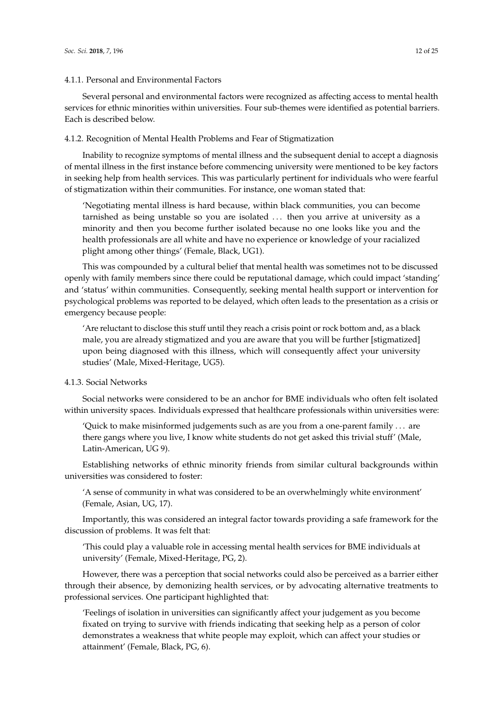## 4.1.1. Personal and Environmental Factors

Several personal and environmental factors were recognized as affecting access to mental health services for ethnic minorities within universities. Four sub-themes were identified as potential barriers. Each is described below.

#### 4.1.2. Recognition of Mental Health Problems and Fear of Stigmatization

Inability to recognize symptoms of mental illness and the subsequent denial to accept a diagnosis of mental illness in the first instance before commencing university were mentioned to be key factors in seeking help from health services. This was particularly pertinent for individuals who were fearful of stigmatization within their communities. For instance, one woman stated that:

'Negotiating mental illness is hard because, within black communities, you can become tarnished as being unstable so you are isolated . . . then you arrive at university as a minority and then you become further isolated because no one looks like you and the health professionals are all white and have no experience or knowledge of your racialized plight among other things' (Female, Black, UG1).

This was compounded by a cultural belief that mental health was sometimes not to be discussed openly with family members since there could be reputational damage, which could impact 'standing' and 'status' within communities. Consequently, seeking mental health support or intervention for psychological problems was reported to be delayed, which often leads to the presentation as a crisis or emergency because people:

'Are reluctant to disclose this stuff until they reach a crisis point or rock bottom and, as a black male, you are already stigmatized and you are aware that you will be further [stigmatized] upon being diagnosed with this illness, which will consequently affect your university studies' (Male, Mixed-Heritage, UG5).

## 4.1.3. Social Networks

Social networks were considered to be an anchor for BME individuals who often felt isolated within university spaces. Individuals expressed that healthcare professionals within universities were:

'Quick to make misinformed judgements such as are you from a one-parent family . . . are there gangs where you live, I know white students do not get asked this trivial stuff' (Male, Latin-American, UG 9).

Establishing networks of ethnic minority friends from similar cultural backgrounds within universities was considered to foster:

'A sense of community in what was considered to be an overwhelmingly white environment' (Female, Asian, UG, 17).

Importantly, this was considered an integral factor towards providing a safe framework for the discussion of problems. It was felt that:

'This could play a valuable role in accessing mental health services for BME individuals at university' (Female, Mixed-Heritage, PG, 2).

However, there was a perception that social networks could also be perceived as a barrier either through their absence, by demonizing health services, or by advocating alternative treatments to professional services. One participant highlighted that:

'Feelings of isolation in universities can significantly affect your judgement as you become fixated on trying to survive with friends indicating that seeking help as a person of color demonstrates a weakness that white people may exploit, which can affect your studies or attainment' (Female, Black, PG, 6).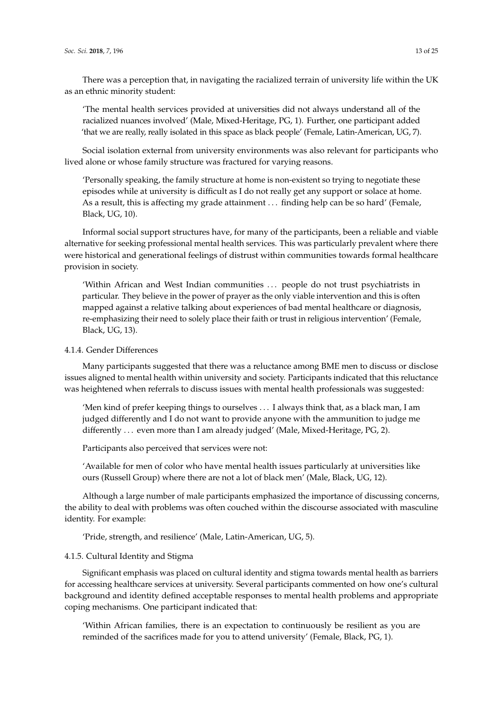There was a perception that, in navigating the racialized terrain of university life within the UK as an ethnic minority student:

'The mental health services provided at universities did not always understand all of the racialized nuances involved' (Male, Mixed-Heritage, PG, 1). Further, one participant added 'that we are really, really isolated in this space as black people' (Female, Latin-American, UG, 7).

Social isolation external from university environments was also relevant for participants who lived alone or whose family structure was fractured for varying reasons.

'Personally speaking, the family structure at home is non-existent so trying to negotiate these episodes while at university is difficult as I do not really get any support or solace at home. As a result, this is affecting my grade attainment . . . finding help can be so hard' (Female, Black, UG, 10).

Informal social support structures have, for many of the participants, been a reliable and viable alternative for seeking professional mental health services. This was particularly prevalent where there were historical and generational feelings of distrust within communities towards formal healthcare provision in society.

'Within African and West Indian communities . . . people do not trust psychiatrists in particular. They believe in the power of prayer as the only viable intervention and this is often mapped against a relative talking about experiences of bad mental healthcare or diagnosis, re-emphasizing their need to solely place their faith or trust in religious intervention' (Female, Black, UG, 13).

## 4.1.4. Gender Differences

Many participants suggested that there was a reluctance among BME men to discuss or disclose issues aligned to mental health within university and society. Participants indicated that this reluctance was heightened when referrals to discuss issues with mental health professionals was suggested:

'Men kind of prefer keeping things to ourselves . . . I always think that, as a black man, I am judged differently and I do not want to provide anyone with the ammunition to judge me differently . . . even more than I am already judged' (Male, Mixed-Heritage, PG, 2).

Participants also perceived that services were not:

'Available for men of color who have mental health issues particularly at universities like ours (Russell Group) where there are not a lot of black men' (Male, Black, UG, 12).

Although a large number of male participants emphasized the importance of discussing concerns, the ability to deal with problems was often couched within the discourse associated with masculine identity. For example:

'Pride, strength, and resilience' (Male, Latin-American, UG, 5).

#### 4.1.5. Cultural Identity and Stigma

Significant emphasis was placed on cultural identity and stigma towards mental health as barriers for accessing healthcare services at university. Several participants commented on how one's cultural background and identity defined acceptable responses to mental health problems and appropriate coping mechanisms. One participant indicated that:

'Within African families, there is an expectation to continuously be resilient as you are reminded of the sacrifices made for you to attend university' (Female, Black, PG, 1).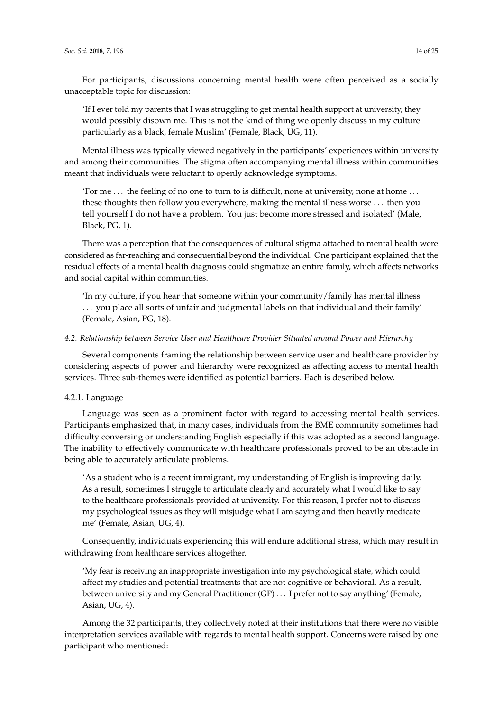For participants, discussions concerning mental health were often perceived as a socially unacceptable topic for discussion:

'If I ever told my parents that I was struggling to get mental health support at university, they would possibly disown me. This is not the kind of thing we openly discuss in my culture particularly as a black, female Muslim' (Female, Black, UG, 11).

Mental illness was typically viewed negatively in the participants' experiences within university and among their communities. The stigma often accompanying mental illness within communities meant that individuals were reluctant to openly acknowledge symptoms.

'For me . . . the feeling of no one to turn to is difficult, none at university, none at home . . . these thoughts then follow you everywhere, making the mental illness worse . . . then you tell yourself I do not have a problem. You just become more stressed and isolated' (Male, Black, PG, 1).

There was a perception that the consequences of cultural stigma attached to mental health were considered as far-reaching and consequential beyond the individual. One participant explained that the residual effects of a mental health diagnosis could stigmatize an entire family, which affects networks and social capital within communities.

'In my culture, if you hear that someone within your community/family has mental illness . . . you place all sorts of unfair and judgmental labels on that individual and their family' (Female, Asian, PG, 18).

## *4.2. Relationship between Service User and Healthcare Provider Situated around Power and Hierarchy*

Several components framing the relationship between service user and healthcare provider by considering aspects of power and hierarchy were recognized as affecting access to mental health services. Three sub-themes were identified as potential barriers. Each is described below.

## 4.2.1. Language

Language was seen as a prominent factor with regard to accessing mental health services. Participants emphasized that, in many cases, individuals from the BME community sometimes had difficulty conversing or understanding English especially if this was adopted as a second language. The inability to effectively communicate with healthcare professionals proved to be an obstacle in being able to accurately articulate problems.

'As a student who is a recent immigrant, my understanding of English is improving daily. As a result, sometimes I struggle to articulate clearly and accurately what I would like to say to the healthcare professionals provided at university. For this reason, I prefer not to discuss my psychological issues as they will misjudge what I am saying and then heavily medicate me' (Female, Asian, UG, 4).

Consequently, individuals experiencing this will endure additional stress, which may result in withdrawing from healthcare services altogether.

'My fear is receiving an inappropriate investigation into my psychological state, which could affect my studies and potential treatments that are not cognitive or behavioral. As a result, between university and my General Practitioner (GP) . . . I prefer not to say anything' (Female, Asian, UG, 4).

Among the 32 participants, they collectively noted at their institutions that there were no visible interpretation services available with regards to mental health support. Concerns were raised by one participant who mentioned: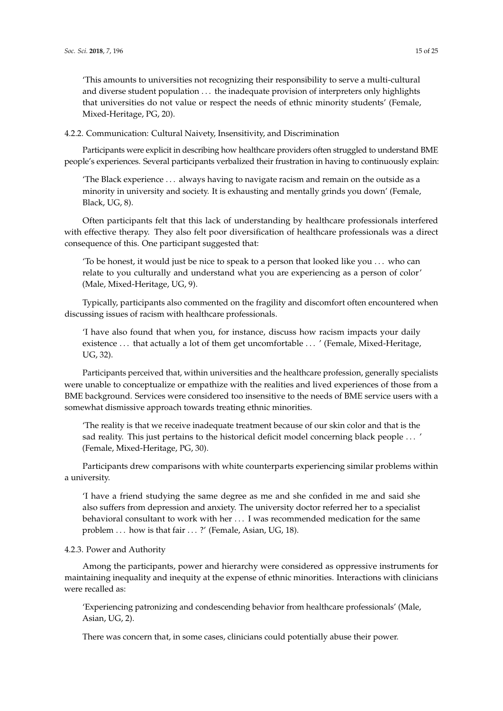'This amounts to universities not recognizing their responsibility to serve a multi-cultural and diverse student population . . . the inadequate provision of interpreters only highlights that universities do not value or respect the needs of ethnic minority students' (Female, Mixed-Heritage, PG, 20).

4.2.2. Communication: Cultural Naivety, Insensitivity, and Discrimination

Participants were explicit in describing how healthcare providers often struggled to understand BME people's experiences. Several participants verbalized their frustration in having to continuously explain:

'The Black experience . . . always having to navigate racism and remain on the outside as a minority in university and society. It is exhausting and mentally grinds you down' (Female, Black, UG, 8).

Often participants felt that this lack of understanding by healthcare professionals interfered with effective therapy. They also felt poor diversification of healthcare professionals was a direct consequence of this. One participant suggested that:

'To be honest, it would just be nice to speak to a person that looked like you . . . who can relate to you culturally and understand what you are experiencing as a person of color' (Male, Mixed-Heritage, UG, 9).

Typically, participants also commented on the fragility and discomfort often encountered when discussing issues of racism with healthcare professionals.

'I have also found that when you, for instance, discuss how racism impacts your daily existence ... that actually a lot of them get uncomfortable ... ' (Female, Mixed-Heritage, UG, 32).

Participants perceived that, within universities and the healthcare profession, generally specialists were unable to conceptualize or empathize with the realities and lived experiences of those from a BME background. Services were considered too insensitive to the needs of BME service users with a somewhat dismissive approach towards treating ethnic minorities.

'The reality is that we receive inadequate treatment because of our skin color and that is the sad reality. This just pertains to the historical deficit model concerning black people ... ' (Female, Mixed-Heritage, PG, 30).

Participants drew comparisons with white counterparts experiencing similar problems within a university.

'I have a friend studying the same degree as me and she confided in me and said she also suffers from depression and anxiety. The university doctor referred her to a specialist behavioral consultant to work with her . . . I was recommended medication for the same problem . . . how is that fair . . . ?' (Female, Asian, UG, 18).

## 4.2.3. Power and Authority

Among the participants, power and hierarchy were considered as oppressive instruments for maintaining inequality and inequity at the expense of ethnic minorities. Interactions with clinicians were recalled as:

'Experiencing patronizing and condescending behavior from healthcare professionals' (Male, Asian, UG, 2).

There was concern that, in some cases, clinicians could potentially abuse their power.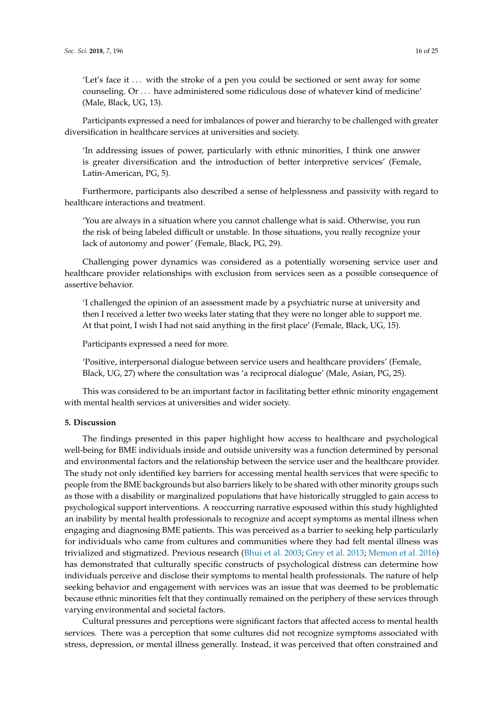Participants expressed a need for imbalances of power and hierarchy to be challenged with greater diversification in healthcare services at universities and society.

'In addressing issues of power, particularly with ethnic minorities, I think one answer is greater diversification and the introduction of better interpretive services' (Female, Latin-American, PG, 5).

Furthermore, participants also described a sense of helplessness and passivity with regard to healthcare interactions and treatment.

'You are always in a situation where you cannot challenge what is said. Otherwise, you run the risk of being labeled difficult or unstable. In those situations, you really recognize your lack of autonomy and power' (Female, Black, PG, 29).

Challenging power dynamics was considered as a potentially worsening service user and healthcare provider relationships with exclusion from services seen as a possible consequence of assertive behavior.

'I challenged the opinion of an assessment made by a psychiatric nurse at university and then I received a letter two weeks later stating that they were no longer able to support me. At that point, I wish I had not said anything in the first place' (Female, Black, UG, 15).

Participants expressed a need for more.

'Positive, interpersonal dialogue between service users and healthcare providers' (Female, Black, UG, 27) where the consultation was 'a reciprocal dialogue' (Male, Asian, PG, 25).

This was considered to be an important factor in facilitating better ethnic minority engagement with mental health services at universities and wider society.

## **5. Discussion**

The findings presented in this paper highlight how access to healthcare and psychological well-being for BME individuals inside and outside university was a function determined by personal and environmental factors and the relationship between the service user and the healthcare provider. The study not only identified key barriers for accessing mental health services that were specific to people from the BME backgrounds but also barriers likely to be shared with other minority groups such as those with a disability or marginalized populations that have historically struggled to gain access to psychological support interventions. A reoccurring narrative espoused within this study highlighted an inability by mental health professionals to recognize and accept symptoms as mental illness when engaging and diagnosing BME patients. This was perceived as a barrier to seeking help particularly for individuals who came from cultures and communities where they had felt mental illness was trivialized and stigmatized. Previous research [\(Bhui et al.](#page-21-15) [2003;](#page-21-15) [Grey et al.](#page-22-0) [2013;](#page-22-0) [Memon et al.](#page-23-6) [2016\)](#page-23-6) has demonstrated that culturally specific constructs of psychological distress can determine how individuals perceive and disclose their symptoms to mental health professionals. The nature of help seeking behavior and engagement with services was an issue that was deemed to be problematic because ethnic minorities felt that they continually remained on the periphery of these services through varying environmental and societal factors.

Cultural pressures and perceptions were significant factors that affected access to mental health services. There was a perception that some cultures did not recognize symptoms associated with stress, depression, or mental illness generally. Instead, it was perceived that often constrained and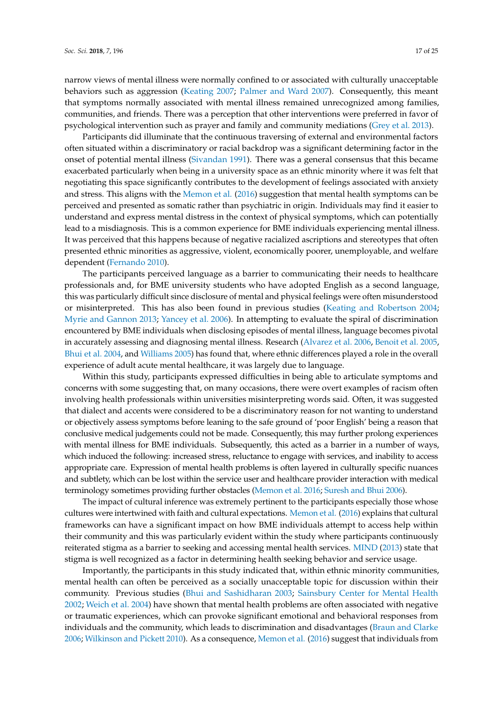narrow views of mental illness were normally confined to or associated with culturally unacceptable behaviors such as aggression [\(Keating](#page-22-11) [2007;](#page-22-11) [Palmer and Ward](#page-23-16) [2007\)](#page-23-16). Consequently, this meant that symptoms normally associated with mental illness remained unrecognized among families, communities, and friends. There was a perception that other interventions were preferred in favor of psychological intervention such as prayer and family and community mediations [\(Grey et al.](#page-22-0) [2013\)](#page-22-0).

Participants did illuminate that the continuous traversing of external and environmental factors often situated within a discriminatory or racial backdrop was a significant determining factor in the onset of potential mental illness [\(Sivandan](#page-23-17) [1991\)](#page-23-17). There was a general consensus that this became exacerbated particularly when being in a university space as an ethnic minority where it was felt that negotiating this space significantly contributes to the development of feelings associated with anxiety and stress. This aligns with the [Memon et al.](#page-23-6) [\(2016\)](#page-23-6) suggestion that mental health symptoms can be perceived and presented as somatic rather than psychiatric in origin. Individuals may find it easier to understand and express mental distress in the context of physical symptoms, which can potentially lead to a misdiagnosis. This is a common experience for BME individuals experiencing mental illness. It was perceived that this happens because of negative racialized ascriptions and stereotypes that often presented ethnic minorities as aggressive, violent, economically poorer, unemployable, and welfare dependent [\(Fernando](#page-22-7) [2010\)](#page-22-7).

The participants perceived language as a barrier to communicating their needs to healthcare professionals and, for BME university students who have adopted English as a second language, this was particularly difficult since disclosure of mental and physical feelings were often misunderstood or misinterpreted. This has also been found in previous studies [\(Keating and Robertson](#page-22-10) [2004;](#page-22-10) [Myrie and Gannon](#page-23-7) [2013;](#page-23-7) [Yancey et al.](#page-24-2) [2006\)](#page-24-2). In attempting to evaluate the spiral of discrimination encountered by BME individuals when disclosing episodes of mental illness, language becomes pivotal in accurately assessing and diagnosing mental illness. Research [\(Alvarez et al.](#page-21-10) [2006,](#page-21-10) [Benoit et al.](#page-21-3) [2005,](#page-21-3) [Bhui et al.](#page-21-16) [2004,](#page-21-16) and [Williams](#page-24-5) [2005\)](#page-24-5) has found that, where ethnic differences played a role in the overall experience of adult acute mental healthcare, it was largely due to language.

Within this study, participants expressed difficulties in being able to articulate symptoms and concerns with some suggesting that, on many occasions, there were overt examples of racism often involving health professionals within universities misinterpreting words said. Often, it was suggested that dialect and accents were considered to be a discriminatory reason for not wanting to understand or objectively assess symptoms before leaning to the safe ground of 'poor English' being a reason that conclusive medical judgements could not be made. Consequently, this may further prolong experiences with mental illness for BME individuals. Subsequently, this acted as a barrier in a number of ways, which induced the following: increased stress, reluctance to engage with services, and inability to access appropriate care. Expression of mental health problems is often layered in culturally specific nuances and subtlety, which can be lost within the service user and healthcare provider interaction with medical terminology sometimes providing further obstacles [\(Memon et al.](#page-23-6) [2016;](#page-23-6) [Suresh and Bhui](#page-23-18) [2006\)](#page-23-18).

The impact of cultural inference was extremely pertinent to the participants especially those whose cultures were intertwined with faith and cultural expectations. [Memon et al.](#page-23-6) [\(2016\)](#page-23-6) explains that cultural frameworks can have a significant impact on how BME individuals attempt to access help within their community and this was particularly evident within the study where participants continuously reiterated stigma as a barrier to seeking and accessing mental health services. [MIND](#page-23-0) [\(2013\)](#page-23-0) state that stigma is well recognized as a factor in determining health seeking behavior and service usage.

Importantly, the participants in this study indicated that, within ethnic minority communities, mental health can often be perceived as a socially unacceptable topic for discussion within their community. Previous studies [\(Bhui and Sashidharan](#page-21-17) [2003;](#page-21-17) [Sainsbury Center for Mental Health](#page-23-19) [2002;](#page-23-19) [Weich et al.](#page-24-7) [2004\)](#page-24-7) have shown that mental health problems are often associated with negative or traumatic experiences, which can provoke significant emotional and behavioral responses from individuals and the community, which leads to discrimination and disadvantages [\(Braun and Clarke](#page-21-11) [2006;](#page-21-11) [Wilkinson and Pickett](#page-24-4) [2010\)](#page-24-4). As a consequence, [Memon et al.](#page-23-6) [\(2016\)](#page-23-6) suggest that individuals from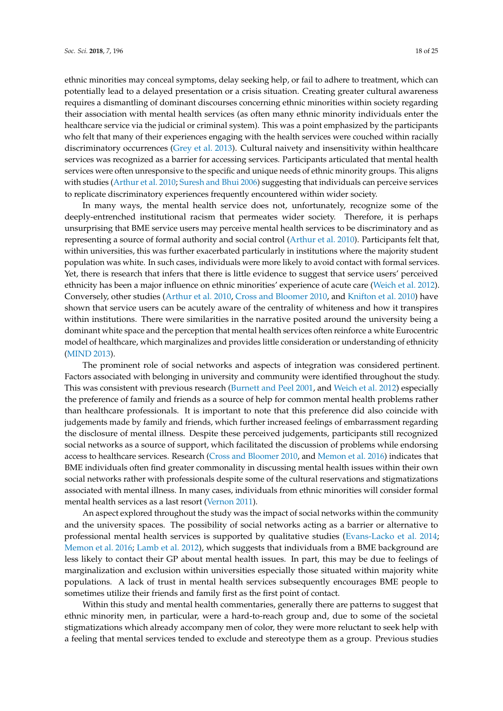ethnic minorities may conceal symptoms, delay seeking help, or fail to adhere to treatment, which can potentially lead to a delayed presentation or a crisis situation. Creating greater cultural awareness requires a dismantling of dominant discourses concerning ethnic minorities within society regarding their association with mental health services (as often many ethnic minority individuals enter the healthcare service via the judicial or criminal system). This was a point emphasized by the participants who felt that many of their experiences engaging with the health services were couched within racially discriminatory occurrences [\(Grey et al.](#page-22-0) [2013\)](#page-22-0). Cultural naivety and insensitivity within healthcare services was recognized as a barrier for accessing services. Participants articulated that mental health services were often unresponsive to the specific and unique needs of ethnic minority groups. This aligns with studies [\(Arthur et al.](#page-21-18) [2010;](#page-21-18) [Suresh and Bhui](#page-23-18) [2006\)](#page-23-18) suggesting that individuals can perceive services to replicate discriminatory experiences frequently encountered within wider society.

In many ways, the mental health service does not, unfortunately, recognize some of the deeply-entrenched institutional racism that permeates wider society. Therefore, it is perhaps unsurprising that BME service users may perceive mental health services to be discriminatory and as representing a source of formal authority and social control [\(Arthur et al.](#page-21-18) [2010\)](#page-21-18). Participants felt that, within universities, this was further exacerbated particularly in institutions where the majority student population was white. In such cases, individuals were more likely to avoid contact with formal services. Yet, there is research that infers that there is little evidence to suggest that service users' perceived ethnicity has been a major influence on ethnic minorities' experience of acute care [\(Weich et al.](#page-24-8) [2012\)](#page-24-8). Conversely, other studies [\(Arthur et al.](#page-21-18) [2010,](#page-21-18) [Cross and Bloomer](#page-22-14) [2010,](#page-22-14) and [Knifton et al.](#page-22-15) [2010\)](#page-22-15) have shown that service users can be acutely aware of the centrality of whiteness and how it transpires within institutions. There were similarities in the narrative posited around the university being a dominant white space and the perception that mental health services often reinforce a white Eurocentric model of healthcare, which marginalizes and provides little consideration or understanding of ethnicity [\(MIND](#page-23-0) [2013\)](#page-23-0).

The prominent role of social networks and aspects of integration was considered pertinent. Factors associated with belonging in university and community were identified throughout the study. This was consistent with previous research [\(Burnett and Peel](#page-21-19) [2001,](#page-21-19) and [Weich et al.](#page-24-8) [2012\)](#page-24-8) especially the preference of family and friends as a source of help for common mental health problems rather than healthcare professionals. It is important to note that this preference did also coincide with judgements made by family and friends, which further increased feelings of embarrassment regarding the disclosure of mental illness. Despite these perceived judgements, participants still recognized social networks as a source of support, which facilitated the discussion of problems while endorsing access to healthcare services. Research [\(Cross and Bloomer](#page-22-14) [2010,](#page-22-14) and [Memon et al.](#page-23-6) [2016\)](#page-23-6) indicates that BME individuals often find greater commonality in discussing mental health issues within their own social networks rather with professionals despite some of the cultural reservations and stigmatizations associated with mental illness. In many cases, individuals from ethnic minorities will consider formal mental health services as a last resort [\(Vernon](#page-24-1) [2011\)](#page-24-1).

An aspect explored throughout the study was the impact of social networks within the community and the university spaces. The possibility of social networks acting as a barrier or alternative to professional mental health services is supported by qualitative studies [\(Evans-Lacko et al.](#page-22-16) [2014;](#page-22-16) [Memon et al.](#page-23-6) [2016;](#page-23-6) [Lamb et al.](#page-22-17) [2012\)](#page-22-17), which suggests that individuals from a BME background are less likely to contact their GP about mental health issues. In part, this may be due to feelings of marginalization and exclusion within universities especially those situated within majority white populations. A lack of trust in mental health services subsequently encourages BME people to sometimes utilize their friends and family first as the first point of contact.

Within this study and mental health commentaries, generally there are patterns to suggest that ethnic minority men, in particular, were a hard-to-reach group and, due to some of the societal stigmatizations which already accompany men of color, they were more reluctant to seek help with a feeling that mental services tended to exclude and stereotype them as a group. Previous studies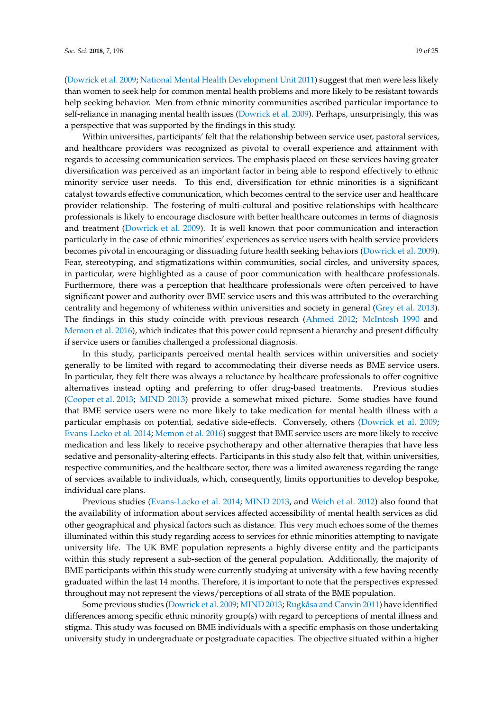[\(Dowrick et al.](#page-22-18) [2009;](#page-22-18) [National Mental Health Development Unit](#page-23-20) [2011\)](#page-23-20) suggest that men were less likely than women to seek help for common mental health problems and more likely to be resistant towards help seeking behavior. Men from ethnic minority communities ascribed particular importance to self-reliance in managing mental health issues [\(Dowrick et al.](#page-22-18) [2009\)](#page-22-18). Perhaps, unsurprisingly, this was a perspective that was supported by the findings in this study.

Within universities, participants' felt that the relationship between service user, pastoral services, and healthcare providers was recognized as pivotal to overall experience and attainment with regards to accessing communication services. The emphasis placed on these services having greater diversification was perceived as an important factor in being able to respond effectively to ethnic minority service user needs. To this end, diversification for ethnic minorities is a significant catalyst towards effective communication, which becomes central to the service user and healthcare provider relationship. The fostering of multi-cultural and positive relationships with healthcare professionals is likely to encourage disclosure with better healthcare outcomes in terms of diagnosis and treatment [\(Dowrick et al.](#page-22-18) [2009\)](#page-22-18). It is well known that poor communication and interaction particularly in the case of ethnic minorities' experiences as service users with health service providers becomes pivotal in encouraging or dissuading future health seeking behaviors [\(Dowrick et al.](#page-22-18) [2009\)](#page-22-18). Fear, stereotyping, and stigmatizations within communities, social circles, and university spaces, in particular, were highlighted as a cause of poor communication with healthcare professionals. Furthermore, there was a perception that healthcare professionals were often perceived to have significant power and authority over BME service users and this was attributed to the overarching centrality and hegemony of whiteness within universities and society in general [\(Grey et al.](#page-22-0) [2013\)](#page-22-0). The findings in this study coincide with previous research [\(Ahmed](#page-21-9) [2012;](#page-21-9) [McIntosh](#page-22-19) [1990](#page-22-19) and [Memon et al.](#page-23-6) [2016\)](#page-23-6), which indicates that this power could represent a hierarchy and present difficulty if service users or families challenged a professional diagnosis.

In this study, participants perceived mental health services within universities and society generally to be limited with regard to accommodating their diverse needs as BME service users. In particular, they felt there was always a reluctance by healthcare professionals to offer cognitive alternatives instead opting and preferring to offer drug-based treatments. Previous studies [\(Cooper et al.](#page-22-4) [2013;](#page-22-4) [MIND](#page-23-0) [2013\)](#page-23-0) provide a somewhat mixed picture. Some studies have found that BME service users were no more likely to take medication for mental health illness with a particular emphasis on potential, sedative side-effects. Conversely, others [\(Dowrick et al.](#page-22-18) [2009;](#page-22-18) [Evans-Lacko et al.](#page-22-16) [2014;](#page-22-16) [Memon et al.](#page-23-6) [2016\)](#page-23-6) suggest that BME service users are more likely to receive medication and less likely to receive psychotherapy and other alternative therapies that have less sedative and personality-altering effects. Participants in this study also felt that, within universities, respective communities, and the healthcare sector, there was a limited awareness regarding the range of services available to individuals, which, consequently, limits opportunities to develop bespoke, individual care plans.

Previous studies [\(Evans-Lacko et al.](#page-22-16) [2014;](#page-22-16) [MIND](#page-23-0) [2013,](#page-23-0) and [Weich et al.](#page-24-8) [2012\)](#page-24-8) also found that the availability of information about services affected accessibility of mental health services as did other geographical and physical factors such as distance. This very much echoes some of the themes illuminated within this study regarding access to services for ethnic minorities attempting to navigate university life. The UK BME population represents a highly diverse entity and the participants within this study represent a sub-section of the general population. Additionally, the majority of BME participants within this study were currently studying at university with a few having recently graduated within the last 14 months. Therefore, it is important to note that the perspectives expressed throughout may not represent the views/perceptions of all strata of the BME population.

Some previous studies [\(Dowrick et al.](#page-22-18) [2009;](#page-22-18) [MIND](#page-23-0) [2013;](#page-23-0) [Rugkåsa and Canvin](#page-23-3) [2011\)](#page-23-3) have identified differences among specific ethnic minority group(s) with regard to perceptions of mental illness and stigma. This study was focused on BME individuals with a specific emphasis on those undertaking university study in undergraduate or postgraduate capacities. The objective situated within a higher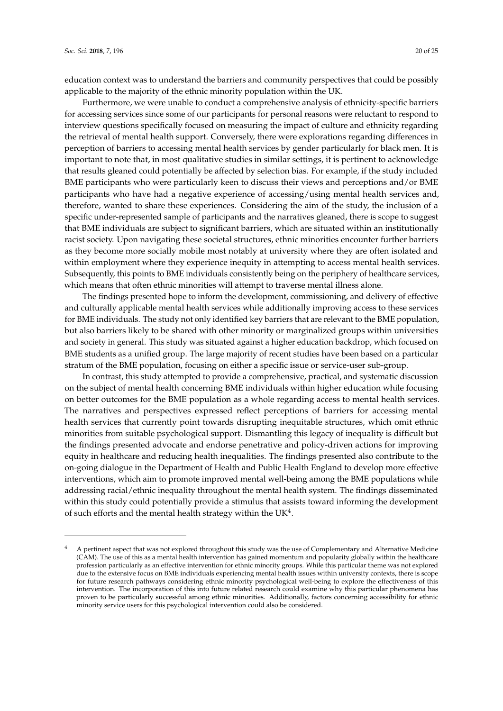education context was to understand the barriers and community perspectives that could be possibly applicable to the majority of the ethnic minority population within the UK.

Furthermore, we were unable to conduct a comprehensive analysis of ethnicity-specific barriers for accessing services since some of our participants for personal reasons were reluctant to respond to interview questions specifically focused on measuring the impact of culture and ethnicity regarding the retrieval of mental health support. Conversely, there were explorations regarding differences in perception of barriers to accessing mental health services by gender particularly for black men. It is important to note that, in most qualitative studies in similar settings, it is pertinent to acknowledge that results gleaned could potentially be affected by selection bias. For example, if the study included BME participants who were particularly keen to discuss their views and perceptions and/or BME participants who have had a negative experience of accessing/using mental health services and, therefore, wanted to share these experiences. Considering the aim of the study, the inclusion of a specific under-represented sample of participants and the narratives gleaned, there is scope to suggest that BME individuals are subject to significant barriers, which are situated within an institutionally racist society. Upon navigating these societal structures, ethnic minorities encounter further barriers as they become more socially mobile most notably at university where they are often isolated and within employment where they experience inequity in attempting to access mental health services. Subsequently, this points to BME individuals consistently being on the periphery of healthcare services, which means that often ethnic minorities will attempt to traverse mental illness alone.

The findings presented hope to inform the development, commissioning, and delivery of effective and culturally applicable mental health services while additionally improving access to these services for BME individuals. The study not only identified key barriers that are relevant to the BME population, but also barriers likely to be shared with other minority or marginalized groups within universities and society in general. This study was situated against a higher education backdrop, which focused on BME students as a unified group. The large majority of recent studies have been based on a particular stratum of the BME population, focusing on either a specific issue or service-user sub-group.

In contrast, this study attempted to provide a comprehensive, practical, and systematic discussion on the subject of mental health concerning BME individuals within higher education while focusing on better outcomes for the BME population as a whole regarding access to mental health services. The narratives and perspectives expressed reflect perceptions of barriers for accessing mental health services that currently point towards disrupting inequitable structures, which omit ethnic minorities from suitable psychological support. Dismantling this legacy of inequality is difficult but the findings presented advocate and endorse penetrative and policy-driven actions for improving equity in healthcare and reducing health inequalities. The findings presented also contribute to the on-going dialogue in the Department of Health and Public Health England to develop more effective interventions, which aim to promote improved mental well-being among the BME populations while addressing racial/ethnic inequality throughout the mental health system. The findings disseminated within this study could potentially provide a stimulus that assists toward informing the development of such efforts and the mental health strategy within the UK<sup>4</sup>.

<sup>4</sup> A pertinent aspect that was not explored throughout this study was the use of Complementary and Alternative Medicine (CAM). The use of this as a mental health intervention has gained momentum and popularity globally within the healthcare profession particularly as an effective intervention for ethnic minority groups. While this particular theme was not explored due to the extensive focus on BME individuals experiencing mental health issues within university contexts, there is scope for future research pathways considering ethnic minority psychological well-being to explore the effectiveness of this intervention. The incorporation of this into future related research could examine why this particular phenomena has proven to be particularly successful among ethnic minorities. Additionally, factors concerning accessibility for ethnic minority service users for this psychological intervention could also be considered.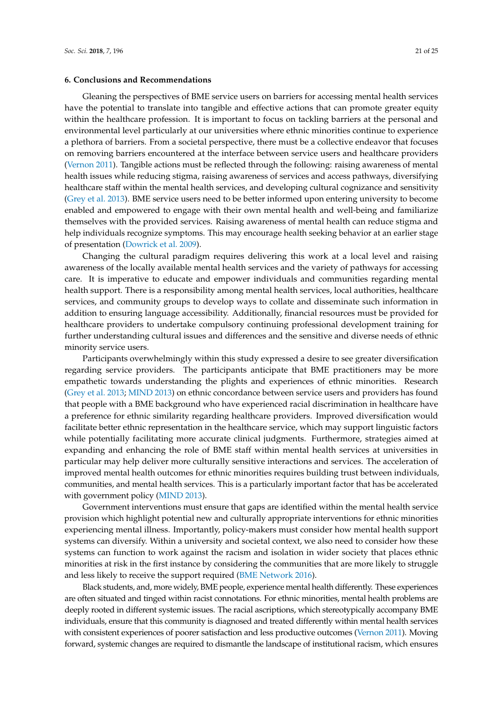#### **6. Conclusions and Recommendations**

Gleaning the perspectives of BME service users on barriers for accessing mental health services have the potential to translate into tangible and effective actions that can promote greater equity within the healthcare profession. It is important to focus on tackling barriers at the personal and environmental level particularly at our universities where ethnic minorities continue to experience a plethora of barriers. From a societal perspective, there must be a collective endeavor that focuses on removing barriers encountered at the interface between service users and healthcare providers [\(Vernon](#page-24-1) [2011\)](#page-24-1). Tangible actions must be reflected through the following: raising awareness of mental health issues while reducing stigma, raising awareness of services and access pathways, diversifying healthcare staff within the mental health services, and developing cultural cognizance and sensitivity [\(Grey et al.](#page-22-0) [2013\)](#page-22-0). BME service users need to be better informed upon entering university to become enabled and empowered to engage with their own mental health and well-being and familiarize themselves with the provided services. Raising awareness of mental health can reduce stigma and help individuals recognize symptoms. This may encourage health seeking behavior at an earlier stage of presentation [\(Dowrick et al.](#page-22-18) [2009\)](#page-22-18).

Changing the cultural paradigm requires delivering this work at a local level and raising awareness of the locally available mental health services and the variety of pathways for accessing care. It is imperative to educate and empower individuals and communities regarding mental health support. There is a responsibility among mental health services, local authorities, healthcare services, and community groups to develop ways to collate and disseminate such information in addition to ensuring language accessibility. Additionally, financial resources must be provided for healthcare providers to undertake compulsory continuing professional development training for further understanding cultural issues and differences and the sensitive and diverse needs of ethnic minority service users.

Participants overwhelmingly within this study expressed a desire to see greater diversification regarding service providers. The participants anticipate that BME practitioners may be more empathetic towards understanding the plights and experiences of ethnic minorities. Research [\(Grey et al.](#page-22-0) [2013;](#page-22-0) [MIND](#page-23-0) [2013\)](#page-23-0) on ethnic concordance between service users and providers has found that people with a BME background who have experienced racial discrimination in healthcare have a preference for ethnic similarity regarding healthcare providers. Improved diversification would facilitate better ethnic representation in the healthcare service, which may support linguistic factors while potentially facilitating more accurate clinical judgments. Furthermore, strategies aimed at expanding and enhancing the role of BME staff within mental health services at universities in particular may help deliver more culturally sensitive interactions and services. The acceleration of improved mental health outcomes for ethnic minorities requires building trust between individuals, communities, and mental health services. This is a particularly important factor that has be accelerated with government policy [\(MIND](#page-23-0) [2013\)](#page-23-0).

Government interventions must ensure that gaps are identified within the mental health service provision which highlight potential new and culturally appropriate interventions for ethnic minorities experiencing mental illness. Importantly, policy-makers must consider how mental health support systems can diversify. Within a university and societal context, we also need to consider how these systems can function to work against the racism and isolation in wider society that places ethnic minorities at risk in the first instance by considering the communities that are more likely to struggle and less likely to receive the support required [\(BME Network](#page-21-20) [2016\)](#page-21-20).

Black students, and, more widely, BME people, experience mental health differently. These experiences are often situated and tinged within racist connotations. For ethnic minorities, mental health problems are deeply rooted in different systemic issues. The racial ascriptions, which stereotypically accompany BME individuals, ensure that this community is diagnosed and treated differently within mental health services with consistent experiences of poorer satisfaction and less productive outcomes [\(Vernon](#page-24-1) [2011\)](#page-24-1). Moving forward, systemic changes are required to dismantle the landscape of institutional racism, which ensures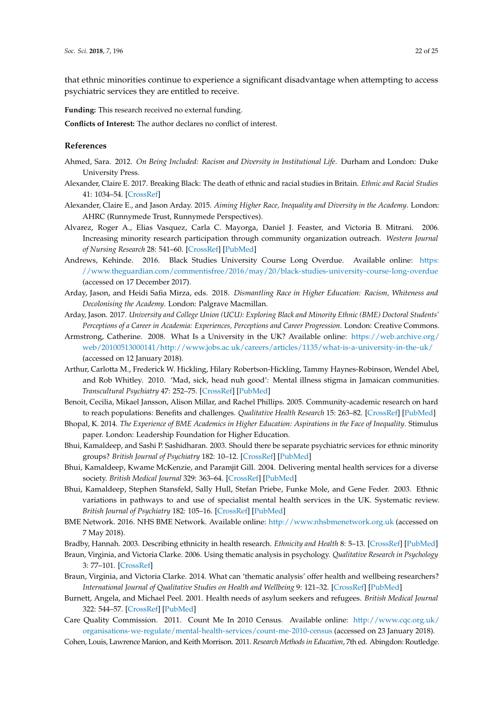that ethnic minorities continue to experience a significant disadvantage when attempting to access psychiatric services they are entitled to receive.

**Funding:** This research received no external funding.

**Conflicts of Interest:** The author declares no conflict of interest.

## **References**

- <span id="page-21-9"></span>Ahmed, Sara. 2012. *On Being Included: Racism and Diversity in Institutional Life*. Durham and London: Duke University Press.
- <span id="page-21-7"></span>Alexander, Claire E. 2017. Breaking Black: The death of ethnic and racial studies in Britain. *Ethnic and Racial Studies* 41: 1034–54. [\[CrossRef\]](http://dx.doi.org/10.1080/01419870.2018.1409902)
- <span id="page-21-6"></span>Alexander, Claire E., and Jason Arday. 2015. *Aiming Higher Race, Inequality and Diversity in the Academy*. London: AHRC (Runnymede Trust, Runnymede Perspectives).
- <span id="page-21-10"></span>Alvarez, Roger A., Elias Vasquez, Carla C. Mayorga, Daniel J. Feaster, and Victoria B. Mitrani. 2006. Increasing minority research participation through community organization outreach. *Western Journal of Nursing Research* 28: 541–60. [\[CrossRef\]](http://dx.doi.org/10.1177/0193945906287215) [\[PubMed\]](http://www.ncbi.nlm.nih.gov/pubmed/16829637)
- <span id="page-21-1"></span>Andrews, Kehinde. 2016. Black Studies University Course Long Overdue. Available online: [https:](https://www.theguardian.com/commentisfree/2016/may/20/black-studies-university-course-long-overdue) [//www.theguardian.com/commentisfree/2016/may/20/black-studies-university-course-long-overdue](https://www.theguardian.com/commentisfree/2016/may/20/black-studies-university-course-long-overdue) (accessed on 17 December 2017).
- <span id="page-21-5"></span>Arday, Jason, and Heidi Safia Mirza, eds. 2018. *Dismantling Race in Higher Education: Racism, Whiteness and Decolonising the Academy*. London: Palgrave Macmillan.
- <span id="page-21-0"></span>Arday, Jason. 2017. *University and College Union (UCU): Exploring Black and Minority Ethnic (BME) Doctoral Students' Perceptions of a Career in Academia: Experiences, Perceptions and Career Progression*. London: Creative Commons.
- <span id="page-21-13"></span>Armstrong, Catherine. 2008. What Is a University in the UK? Available online: [https://web.archive.org/](https://web.archive.org/web/20100513000141/http://www.jobs.ac.uk/careers/articles/1135/what-is-a-university-in-the-uk/) [web/20100513000141/http://www.jobs.ac.uk/careers/articles/1135/what-is-a-university-in-the-uk/](https://web.archive.org/web/20100513000141/http://www.jobs.ac.uk/careers/articles/1135/what-is-a-university-in-the-uk/) (accessed on 12 January 2018).
- <span id="page-21-18"></span>Arthur, Carlotta M., Frederick W. Hickling, Hilary Robertson-Hickling, Tammy Haynes-Robinson, Wendel Abel, and Rob Whitley. 2010. 'Mad, sick, head nuh good': Mental illness stigma in Jamaican communities. *Transcultural Psychiatry* 47: 252–75. [\[CrossRef\]](http://dx.doi.org/10.1177/1363461510368912) [\[PubMed\]](http://www.ncbi.nlm.nih.gov/pubmed/20603388)
- <span id="page-21-3"></span>Benoit, Cecilia, Mikael Jansson, Alison Millar, and Rachel Phillips. 2005. Community-academic research on hard to reach populations: Benefits and challenges. *Qualitative Health Research* 15: 263–82. [\[CrossRef\]](http://dx.doi.org/10.1177/1049732304267752) [\[PubMed\]](http://www.ncbi.nlm.nih.gov/pubmed/15611208)
- <span id="page-21-8"></span>Bhopal, K. 2014. *The Experience of BME Academics in Higher Education: Aspirations in the Face of Inequality*. Stimulus paper. London: Leadership Foundation for Higher Education.
- <span id="page-21-17"></span>Bhui, Kamaldeep, and Sashi P. Sashidharan. 2003. Should there be separate psychiatric services for ethnic minority groups? *British Journal of Psychiatry* 182: 10–12. [\[CrossRef\]](http://dx.doi.org/10.1192/bjp.182.1.10) [\[PubMed\]](http://www.ncbi.nlm.nih.gov/pubmed/12509312)
- <span id="page-21-16"></span>Bhui, Kamaldeep, Kwame McKenzie, and Paramjit Gill. 2004. Delivering mental health services for a diverse society. *British Medical Journal* 329: 363–64. [\[CrossRef\]](http://dx.doi.org/10.1136/bmj.329.7462.363) [\[PubMed\]](http://www.ncbi.nlm.nih.gov/pubmed/15310590)
- <span id="page-21-15"></span>Bhui, Kamaldeep, Stephen Stansfeld, Sally Hull, Stefan Priebe, Funke Mole, and Gene Feder. 2003. Ethnic variations in pathways to and use of specialist mental health services in the UK. Systematic review. *British Journal of Psychiatry* 182: 105–16. [\[CrossRef\]](http://dx.doi.org/10.1192/bjp.182.2.105) [\[PubMed\]](http://www.ncbi.nlm.nih.gov/pubmed/12562737)
- <span id="page-21-20"></span>BME Network. 2016. NHS BME Network. Available online: <http://www.nhsbmenetwork.org.uk> (accessed on 7 May 2018).

<span id="page-21-2"></span>Bradby, Hannah. 2003. Describing ethnicity in health research. *Ethnicity and Health* 8: 5–13. [\[CrossRef\]](http://dx.doi.org/10.1080/13557850303555) [\[PubMed\]](http://www.ncbi.nlm.nih.gov/pubmed/12893581)

- <span id="page-21-11"></span>Braun, Virginia, and Victoria Clarke. 2006. Using thematic analysis in psychology. *Qualitative Research in Psychology* 3: 77–101. [\[CrossRef\]](http://dx.doi.org/10.1191/1478088706qp063oa)
- <span id="page-21-14"></span>Braun, Virginia, and Victoria Clarke. 2014. What can 'thematic analysis' offer health and wellbeing researchers? *International Journal of Qualitative Studies on Health and Wellbeing* 9: 121–32. [\[CrossRef\]](http://dx.doi.org/10.3402/qhw.v9.26152) [\[PubMed\]](http://www.ncbi.nlm.nih.gov/pubmed/25326092)
- <span id="page-21-19"></span>Burnett, Angela, and Michael Peel. 2001. Health needs of asylum seekers and refugees. *British Medical Journal* 322: 544–57. [\[CrossRef\]](http://dx.doi.org/10.1136/bmj.322.7285.544) [\[PubMed\]](http://www.ncbi.nlm.nih.gov/pubmed/11230074)
- <span id="page-21-4"></span>Care Quality Commission. 2011. Count Me In 2010 Census. Available online: [http://www.cqc.org.uk/](http://www.cqc.org.uk/organisations-we-regulate/mental-health-services/count-me-2010-census) [organisations-we-regulate/mental-health-services/count-me-2010-census](http://www.cqc.org.uk/organisations-we-regulate/mental-health-services/count-me-2010-census) (accessed on 23 January 2018).
- <span id="page-21-12"></span>Cohen, Louis, Lawrence Manion, and Keith Morrison. 2011. *Research Methods in Education*, 7th ed. Abingdon: Routledge.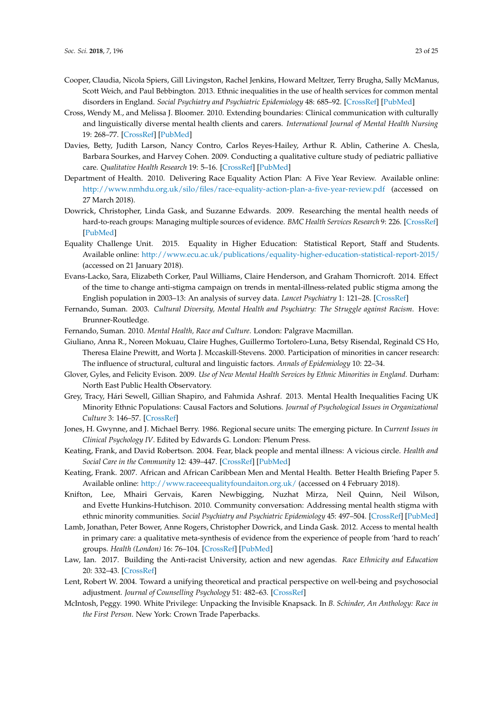- <span id="page-22-4"></span>Cooper, Claudia, Nicola Spiers, Gill Livingston, Rachel Jenkins, Howard Meltzer, Terry Brugha, Sally McManus, Scott Weich, and Paul Bebbington. 2013. Ethnic inequalities in the use of health services for common mental disorders in England. *Social Psychiatry and Psychiatric Epidemiology* 48: 685–92. [\[CrossRef\]](http://dx.doi.org/10.1007/s00127-012-0565-y) [\[PubMed\]](http://www.ncbi.nlm.nih.gov/pubmed/22893107)
- <span id="page-22-14"></span>Cross, Wendy M., and Melissa J. Bloomer. 2010. Extending boundaries: Clinical communication with culturally and linguistically diverse mental health clients and carers. *International Journal of Mental Health Nursing* 19: 268–77. [\[CrossRef\]](http://dx.doi.org/10.1111/j.1447-0349.2010.00667.x) [\[PubMed\]](http://www.ncbi.nlm.nih.gov/pubmed/20618527)
- <span id="page-22-8"></span>Davies, Betty, Judith Larson, Nancy Contro, Carlos Reyes-Hailey, Arthur R. Ablin, Catherine A. Chesla, Barbara Sourkes, and Harvey Cohen. 2009. Conducting a qualitative culture study of pediatric palliative care. *Qualitative Health Research* 19: 5–16. [\[CrossRef\]](http://dx.doi.org/10.1177/1049732308327346) [\[PubMed\]](http://www.ncbi.nlm.nih.gov/pubmed/19001106)
- <span id="page-22-5"></span>Department of Health. 2010. Delivering Race Equality Action Plan: A Five Year Review. Available online: <http://www.nmhdu.org.uk/silo/files/race-equality-action-plan-a-five-year-review.pdf> (accessed on 27 March 2018).
- <span id="page-22-18"></span>Dowrick, Christopher, Linda Gask, and Suzanne Edwards. 2009. Researching the mental health needs of hard-to-reach groups: Managing multiple sources of evidence. *BMC Health Services Research* 9: 226. [\[CrossRef\]](http://dx.doi.org/10.1186/1472-6963-9-226) [\[PubMed\]](http://www.ncbi.nlm.nih.gov/pubmed/20003275)
- <span id="page-22-1"></span>Equality Challenge Unit. 2015. Equality in Higher Education: Statistical Report, Staff and Students. Available online: <http://www.ecu.ac.uk/publications/equality-higher-education-statistical-report-2015/> (accessed on 21 January 2018).
- <span id="page-22-16"></span>Evans-Lacko, Sara, Elizabeth Corker, Paul Williams, Claire Henderson, and Graham Thornicroft. 2014. Effect of the time to change anti-stigma campaign on trends in mental-illness-related public stigma among the English population in 2003–13: An analysis of survey data. *Lancet Psychiatry* 1: 121–28. [\[CrossRef\]](http://dx.doi.org/10.1016/S2215-0366(14)70243-3)
- <span id="page-22-12"></span>Fernando, Suman. 2003. *Cultural Diversity, Mental Health and Psychiatry: The Struggle against Racism*. Hove: Brunner-Routledge.
- <span id="page-22-7"></span>Fernando, Suman. 2010. *Mental Health, Race and Culture*. London: Palgrave Macmillan.
- <span id="page-22-2"></span>Giuliano, Anna R., Noreen Mokuau, Claire Hughes, Guillermo Tortolero-Luna, Betsy Risendal, Reginald CS Ho, Theresa Elaine Prewitt, and Worta J. Mccaskill-Stevens. 2000. Participation of minorities in cancer research: The influence of structural, cultural and linguistic factors. *Annals of Epidemiology* 10: 22–34.
- <span id="page-22-3"></span>Glover, Gyles, and Felicity Evison. 2009. *Use of New Mental Health Services by Ethnic Minorities in England*. Durham: North East Public Health Observatory.
- <span id="page-22-0"></span>Grey, Tracy, Hári Sewell, Gillian Shapiro, and Fahmida Ashraf. 2013. Mental Health Inequalities Facing UK Minority Ethnic Populations: Causal Factors and Solutions. *Journal of Psychological Issues in Organizational Culture* 3: 146–57. [\[CrossRef\]](http://dx.doi.org/10.1002/jpoc.21080)
- <span id="page-22-6"></span>Jones, H. Gwynne, and J. Michael Berry. 1986. Regional secure units: The emerging picture. In *Current Issues in Clinical Psychology IV*. Edited by Edwards G. London: Plenum Press.
- <span id="page-22-10"></span>Keating, Frank, and David Robertson. 2004. Fear, black people and mental illness: A vicious circle. *Health and Social Care in the Community* 12: 439–447. [\[CrossRef\]](http://dx.doi.org/10.1111/j.1365-2524.2004.00506.x) [\[PubMed\]](http://www.ncbi.nlm.nih.gov/pubmed/15373823)
- <span id="page-22-11"></span>Keating, Frank. 2007. African and African Caribbean Men and Mental Health. Better Health Briefing Paper 5. Available online: <http://www.raceeequalityfoundaiton.org.uk/> (accessed on 4 February 2018).
- <span id="page-22-15"></span>Knifton, Lee, Mhairi Gervais, Karen Newbigging, Nuzhat Mirza, Neil Quinn, Neil Wilson, and Evette Hunkins-Hutchison. 2010. Community conversation: Addressing mental health stigma with ethnic minority communities. *Social Psychiatry and Psychiatric Epidemiology* 45: 497–504. [\[CrossRef\]](http://dx.doi.org/10.1007/s00127-009-0095-4) [\[PubMed\]](http://www.ncbi.nlm.nih.gov/pubmed/19629361)
- <span id="page-22-17"></span>Lamb, Jonathan, Peter Bower, Anne Rogers, Christopher Dowrick, and Linda Gask. 2012. Access to mental health in primary care: a qualitative meta-synthesis of evidence from the experience of people from 'hard to reach' groups. *Health (London)* 16: 76–104. [\[CrossRef\]](http://dx.doi.org/10.1177/1363459311403945) [\[PubMed\]](http://www.ncbi.nlm.nih.gov/pubmed/21486918)
- <span id="page-22-9"></span>Law, Ian. 2017. Building the Anti-racist University, action and new agendas. *Race Ethnicity and Education* 20: 332–43. [\[CrossRef\]](http://dx.doi.org/10.1080/13613324.2016.1260232)
- <span id="page-22-13"></span>Lent, Robert W. 2004. Toward a unifying theoretical and practical perspective on well-being and psychosocial adjustment. *Journal of Counselling Psychology* 51: 482–63. [\[CrossRef\]](http://dx.doi.org/10.1037/0022-0167.51.4.482)
- <span id="page-22-19"></span>McIntosh, Peggy. 1990. White Privilege: Unpacking the Invisible Knapsack. In *B. Schinder, An Anthology: Race in the First Person*. New York: Crown Trade Paperbacks.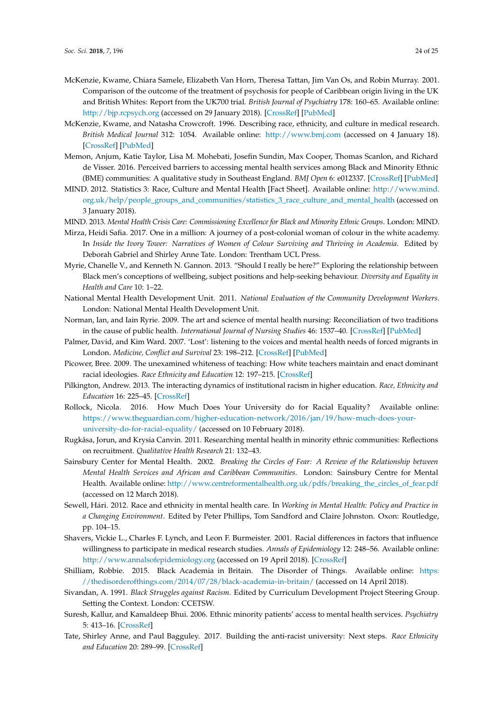- <span id="page-23-15"></span>McKenzie, Kwame, Chiara Samele, Elizabeth Van Horn, Theresa Tattan, Jim Van Os, and Robin Murray. 2001. Comparison of the outcome of the treatment of psychosis for people of Caribbean origin living in the UK and British Whites: Report from the UK700 trial. *British Journal of Psychiatry* 178: 160–65. Available online: <http://bjp.rcpsych.org> (accessed on 29 January 2018). [\[CrossRef\]](http://dx.doi.org/10.1192/bjp.178.2.160) [\[PubMed\]](http://www.ncbi.nlm.nih.gov/pubmed/11157430)
- <span id="page-23-4"></span>McKenzie, Kwame, and Natasha Crowcroft. 1996. Describing race, ethnicity, and culture in medical research. *British Medical Journal* 312: 1054. Available online: <http://www.bmj.com> (accessed on 4 January 18). [\[CrossRef\]](http://dx.doi.org/10.1136/bmj.312.7038.1054) [\[PubMed\]](http://www.ncbi.nlm.nih.gov/pubmed/8616399)
- <span id="page-23-6"></span>Memon, Anjum, Katie Taylor, Lisa M. Mohebati, Josefin Sundin, Max Cooper, Thomas Scanlon, and Richard de Visser. 2016. Perceived barriers to accessing mental health services among Black and Minority Ethnic (BME) communities: A qualitative study in Southeast England. *BMJ Open* 6: e012337. [\[CrossRef\]](http://dx.doi.org/10.1136/bmjopen-2016-012337) [\[PubMed\]](http://www.ncbi.nlm.nih.gov/pubmed/27852712)
- <span id="page-23-14"></span>MIND. 2012. Statistics 3: Race, Culture and Mental Health [Fact Sheet]. Available online: [http://www.mind.](http://www.mind.org.uk/help/people_groups_and_communities/statistics_3_race_culture_and_mental_health) [org.uk/help/people\\_groups\\_and\\_communities/statistics\\_3\\_race\\_culture\\_and\\_mental\\_health](http://www.mind.org.uk/help/people_groups_and_communities/statistics_3_race_culture_and_mental_health) (accessed on 3 January 2018).
- <span id="page-23-0"></span>MIND. 2013. *Mental Health Crisis Care: Commissioning Excellence for Black and Minority Ethnic Groups*. London: MIND.
- <span id="page-23-9"></span>Mirza, Heidi Safia. 2017. One in a million: A journey of a post-colonial woman of colour in the white academy. In *Inside the Ivory Tower: Narratives of Women of Colour Surviving and Thriving in Academia*. Edited by Deborah Gabriel and Shirley Anne Tate. London: Trentham UCL Press.
- <span id="page-23-7"></span>Myrie, Chanelle V., and Kenneth N. Gannon. 2013. "Should I really be here?" Exploring the relationship between Black men's conceptions of wellbeing, subject positions and help-seeking behaviour. *Diversity and Equality in Health and Care* 10: 1–22.
- <span id="page-23-20"></span>National Mental Health Development Unit. 2011. *National Evaluation of the Community Development Workers*. London: National Mental Health Development Unit.
- <span id="page-23-5"></span>Norman, Ian, and Iain Ryrie. 2009. The art and science of mental health nursing: Reconciliation of two traditions in the cause of public health. *International Journal of Nursing Studies* 46: 1537–40. [\[CrossRef\]](http://dx.doi.org/10.1016/j.ijnurstu.2009.10.010) [\[PubMed\]](http://www.ncbi.nlm.nih.gov/pubmed/19896568)
- <span id="page-23-16"></span>Palmer, David, and Kim Ward. 2007. 'Lost': listening to the voices and mental health needs of forced migrants in London. *Medicine, Conflict and Survival* 23: 198–212. [\[CrossRef\]](http://dx.doi.org/10.1080/13623690701417345) [\[PubMed\]](http://www.ncbi.nlm.nih.gov/pubmed/17822063)
- <span id="page-23-13"></span>Picower, Bree. 2009. The unexamined whiteness of teaching: How white teachers maintain and enact dominant racial ideologies. *Race Ethnicity and Education* 12: 197–215. [\[CrossRef\]](http://dx.doi.org/10.1080/13613320902995475)
- <span id="page-23-8"></span>Pilkington, Andrew. 2013. The interacting dynamics of institutional racism in higher education. *Race, Ethnicity and Education* 16: 225–45. [\[CrossRef\]](http://dx.doi.org/10.1080/13613324.2011.646255)
- <span id="page-23-10"></span>Rollock, Nicola. 2016. How Much Does Your University do for Racial Equality? Available online: [https://www.theguardian.com/higher-education-network/2016/jan/19/how-much-does-your](https://www.theguardian.com/higher-education-network/2016/jan/19/how-much-does-your-university-do-for-racial-equality/)[university-do-for-racial-equality/](https://www.theguardian.com/higher-education-network/2016/jan/19/how-much-does-your-university-do-for-racial-equality/) (accessed on 10 February 2018).
- <span id="page-23-3"></span>Rugkåsa, Jorun, and Krysia Canvin. 2011. Researching mental health in minority ethnic communities: Reflections on recruitment. *Qualitative Health Research* 21: 132–43.
- <span id="page-23-19"></span>Sainsbury Center for Mental Health. 2002. *Breaking the Circles of Fear: A Review of the Relationship between Mental Health Services and African and Caribbean Communities*. London: Sainsbury Centre for Mental Health. Available online: [http://www.centreformentalhealth.org.uk/pdfs/breaking\\_the\\_circles\\_of\\_fear.pdf](http://www.centreformentalhealth.org.uk/pdfs/breaking_the_circles_of_fear.pdf) (accessed on 12 March 2018).
- <span id="page-23-2"></span>Sewell, Hári. 2012. Race and ethnicity in mental health care. In *Working in Mental Health: Policy and Practice in a Changing Environment*. Edited by Peter Phillips, Tom Sandford and Claire Johnston. Oxon: Routledge, pp. 104–15.
- <span id="page-23-12"></span>Shavers, Vickie L., Charles F. Lynch, and Leon F. Burmeister. 2001. Racial differences in factors that influence willingness to participate in medical research studies. *Annals of Epidemiology* 12: 248–56. Available online: <http://www.annalsofepidemiology.org> (accessed on 19 April 2018). [\[CrossRef\]](http://dx.doi.org/10.1016/S1047-2797(01)00265-4)
- <span id="page-23-11"></span>Shilliam, Robbie. 2015. Black Academia in Britain. The Disorder of Things. Available online: [https:](https://thedisorderofthings.com/2014/07/28/black-academia-in-britain/) [//thedisorderofthings.com/2014/07/28/black-academia-in-britain/](https://thedisorderofthings.com/2014/07/28/black-academia-in-britain/) (accessed on 14 April 2018).
- <span id="page-23-17"></span>Sivandan, A. 1991. *Black Struggles against Racism*. Edited by Curriculum Development Project Steering Group. Setting the Context. London: CCETSW.
- <span id="page-23-18"></span>Suresh, Kallur, and Kamaldeep Bhui. 2006. Ethnic minority patients' access to mental health services. *Psychiatry* 5: 413–16. [\[CrossRef\]](http://dx.doi.org/10.1053/j.mppsy.2006.08.005)
- <span id="page-23-1"></span>Tate, Shirley Anne, and Paul Bagguley. 2017. Building the anti-racist university: Next steps. *Race Ethnicity and Education* 20: 289–99. [\[CrossRef\]](http://dx.doi.org/10.1080/13613324.2016.1260227)